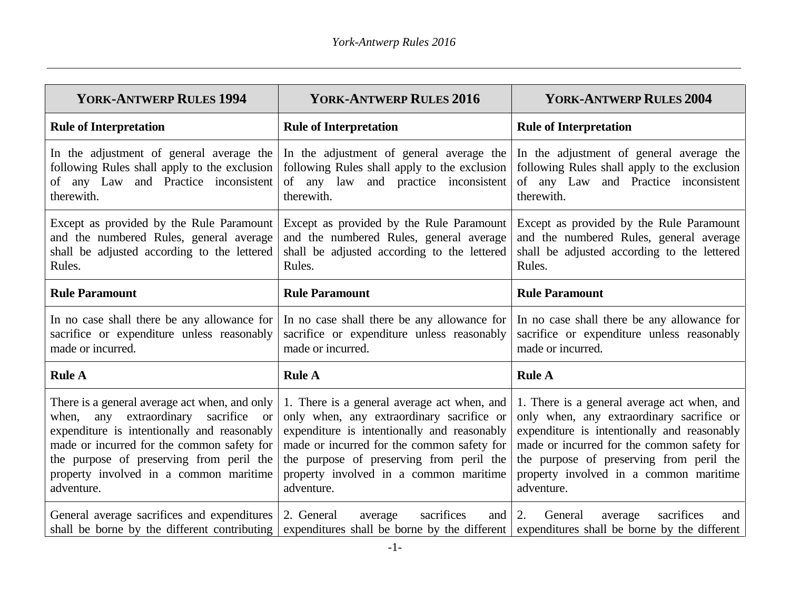| <b>YORK-ANTWERP RULES 1994</b>                                                                                                                                                                                                                                                               | <b>YORK-ANTWERP RULES 2016</b>                                                                                                                                                                                                                                                            | <b>YORK-ANTWERP RULES 2004</b>                                                                                                                                                                                                                                                            |
|----------------------------------------------------------------------------------------------------------------------------------------------------------------------------------------------------------------------------------------------------------------------------------------------|-------------------------------------------------------------------------------------------------------------------------------------------------------------------------------------------------------------------------------------------------------------------------------------------|-------------------------------------------------------------------------------------------------------------------------------------------------------------------------------------------------------------------------------------------------------------------------------------------|
| <b>Rule of Interpretation</b>                                                                                                                                                                                                                                                                | <b>Rule of Interpretation</b>                                                                                                                                                                                                                                                             | <b>Rule of Interpretation</b>                                                                                                                                                                                                                                                             |
| In the adjustment of general average the<br>following Rules shall apply to the exclusion<br>of any Law and Practice inconsistent<br>therewith.                                                                                                                                               | In the adjustment of general average the<br>following Rules shall apply to the exclusion<br>any law and practice inconsistent<br>of<br>therewith.                                                                                                                                         | In the adjustment of general average the<br>following Rules shall apply to the exclusion<br>of any Law and Practice inconsistent<br>therewith.                                                                                                                                            |
| Except as provided by the Rule Paramount<br>and the numbered Rules, general average<br>shall be adjusted according to the lettered<br>Rules.                                                                                                                                                 | Except as provided by the Rule Paramount<br>and the numbered Rules, general average<br>shall be adjusted according to the lettered<br>Rules.                                                                                                                                              | Except as provided by the Rule Paramount<br>and the numbered Rules, general average<br>shall be adjusted according to the lettered<br>Rules.                                                                                                                                              |
| <b>Rule Paramount</b>                                                                                                                                                                                                                                                                        | <b>Rule Paramount</b>                                                                                                                                                                                                                                                                     | <b>Rule Paramount</b>                                                                                                                                                                                                                                                                     |
| In no case shall there be any allowance for<br>sacrifice or expenditure unless reasonably<br>made or incurred.                                                                                                                                                                               | In no case shall there be any allowance for<br>sacrifice or expenditure unless reasonably<br>made or incurred.                                                                                                                                                                            | In no case shall there be any allowance for<br>sacrifice or expenditure unless reasonably<br>made or incurred.                                                                                                                                                                            |
| <b>Rule A</b>                                                                                                                                                                                                                                                                                | <b>Rule A</b>                                                                                                                                                                                                                                                                             | <b>Rule A</b>                                                                                                                                                                                                                                                                             |
| There is a general average act when, and only<br>any extraordinary<br>sacrifice or<br>when,<br>expenditure is intentionally and reasonably<br>made or incurred for the common safety for<br>the purpose of preserving from peril the<br>property involved in a common maritime<br>adventure. | 1. There is a general average act when, and<br>only when, any extraordinary sacrifice or<br>expenditure is intentionally and reasonably<br>made or incurred for the common safety for<br>the purpose of preserving from peril the<br>property involved in a common maritime<br>adventure. | 1. There is a general average act when, and<br>only when, any extraordinary sacrifice or<br>expenditure is intentionally and reasonably<br>made or incurred for the common safety for<br>the purpose of preserving from peril the<br>property involved in a common maritime<br>adventure. |
| General average sacrifices and expenditures<br>shall be borne by the different contributing                                                                                                                                                                                                  | 2. General<br>sacrifices<br>and<br>average<br>expenditures shall be borne by the different expenditures shall be borne by the different                                                                                                                                                   | 2.<br>sacrifices<br>General<br>average<br>and                                                                                                                                                                                                                                             |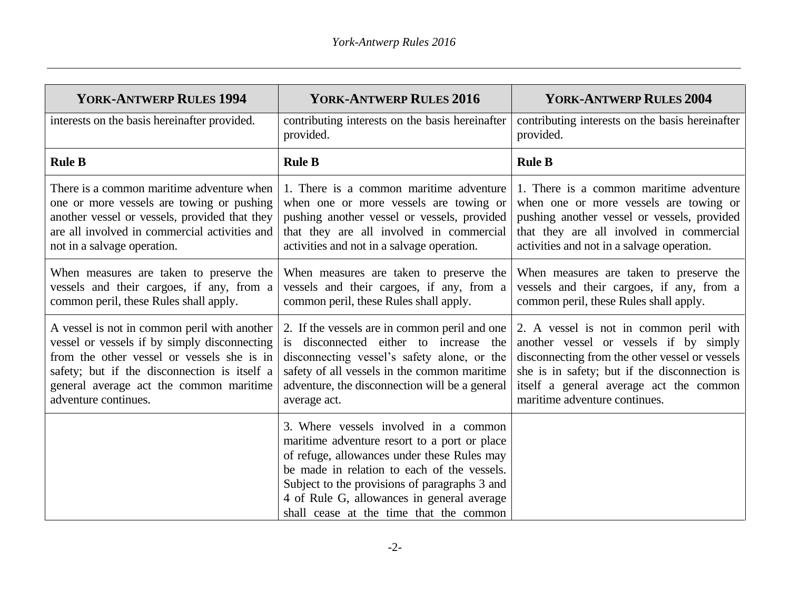| <b>YORK-ANTWERP RULES 1994</b>                                                                                                                                                                                                                                | <b>YORK-ANTWERP RULES 2016</b>                                                                                                                                                                                                                                                                                                | <b>YORK-ANTWERP RULES 2004</b>                                                                                                                                                                                                                                   |
|---------------------------------------------------------------------------------------------------------------------------------------------------------------------------------------------------------------------------------------------------------------|-------------------------------------------------------------------------------------------------------------------------------------------------------------------------------------------------------------------------------------------------------------------------------------------------------------------------------|------------------------------------------------------------------------------------------------------------------------------------------------------------------------------------------------------------------------------------------------------------------|
| interests on the basis hereinafter provided.                                                                                                                                                                                                                  | contributing interests on the basis hereinafter<br>provided.                                                                                                                                                                                                                                                                  | contributing interests on the basis hereinafter<br>provided.                                                                                                                                                                                                     |
| <b>Rule B</b>                                                                                                                                                                                                                                                 | <b>Rule B</b>                                                                                                                                                                                                                                                                                                                 | <b>Rule B</b>                                                                                                                                                                                                                                                    |
| There is a common maritime adventure when<br>one or more vessels are towing or pushing<br>another vessel or vessels, provided that they<br>are all involved in commercial activities and<br>not in a salvage operation.                                       | 1. There is a common maritime adventure<br>when one or more vessels are towing or<br>pushing another vessel or vessels, provided<br>that they are all involved in commercial<br>activities and not in a salvage operation.                                                                                                    | 1. There is a common maritime adventure<br>when one or more vessels are towing or<br>pushing another vessel or vessels, provided<br>that they are all involved in commercial<br>activities and not in a salvage operation.                                       |
| When measures are taken to preserve the<br>vessels and their cargoes, if any, from a<br>common peril, these Rules shall apply.                                                                                                                                | When measures are taken to preserve the<br>vessels and their cargoes, if any, from a<br>common peril, these Rules shall apply.                                                                                                                                                                                                | When measures are taken to preserve the<br>vessels and their cargoes, if any, from a<br>common peril, these Rules shall apply.                                                                                                                                   |
| A vessel is not in common peril with another<br>vessel or vessels if by simply disconnecting<br>from the other vessel or vessels she is in<br>safety; but if the disconnection is itself a<br>general average act the common maritime<br>adventure continues. | 2. If the vessels are in common peril and one<br>disconnected either to increase the<br><i>is</i><br>disconnecting vessel's safety alone, or the<br>safety of all vessels in the common maritime<br>adventure, the disconnection will be a general<br>average act.                                                            | 2. A vessel is not in common peril with<br>another vessel or vessels if by simply<br>disconnecting from the other vessel or vessels<br>she is in safety; but if the disconnection is<br>itself a general average act the common<br>maritime adventure continues. |
|                                                                                                                                                                                                                                                               | 3. Where vessels involved in a common<br>maritime adventure resort to a port or place<br>of refuge, allowances under these Rules may<br>be made in relation to each of the vessels.<br>Subject to the provisions of paragraphs 3 and<br>4 of Rule G, allowances in general average<br>shall cease at the time that the common |                                                                                                                                                                                                                                                                  |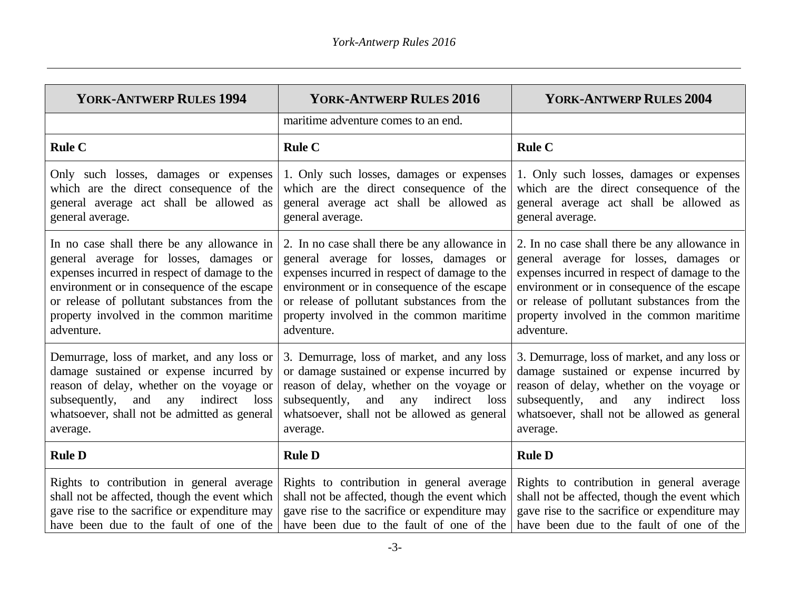| <b>YORK-ANTWERP RULES 1994</b>                                                                                                                                                                                                                                                                | <b>YORK-ANTWERP RULES 2016</b>                                                                                                                                                                                                                                                                   | <b>YORK-ANTWERP RULES 2004</b>                                                                                                                                                                                                                                                                   |
|-----------------------------------------------------------------------------------------------------------------------------------------------------------------------------------------------------------------------------------------------------------------------------------------------|--------------------------------------------------------------------------------------------------------------------------------------------------------------------------------------------------------------------------------------------------------------------------------------------------|--------------------------------------------------------------------------------------------------------------------------------------------------------------------------------------------------------------------------------------------------------------------------------------------------|
|                                                                                                                                                                                                                                                                                               | maritime adventure comes to an end.                                                                                                                                                                                                                                                              |                                                                                                                                                                                                                                                                                                  |
| <b>Rule C</b>                                                                                                                                                                                                                                                                                 | <b>Rule C</b>                                                                                                                                                                                                                                                                                    | <b>Rule C</b>                                                                                                                                                                                                                                                                                    |
| Only such losses, damages or expenses<br>which are the direct consequence of the<br>general average act shall be allowed as<br>general average.                                                                                                                                               | 1. Only such losses, damages or expenses<br>which are the direct consequence of the<br>general average act shall be allowed as<br>general average.                                                                                                                                               | 1. Only such losses, damages or expenses<br>which are the direct consequence of the<br>general average act shall be allowed as<br>general average.                                                                                                                                               |
| In no case shall there be any allowance in<br>general average for losses, damages or<br>expenses incurred in respect of damage to the<br>environment or in consequence of the escape<br>or release of pollutant substances from the<br>property involved in the common maritime<br>adventure. | 2. In no case shall there be any allowance in<br>general average for losses, damages or<br>expenses incurred in respect of damage to the<br>environment or in consequence of the escape<br>or release of pollutant substances from the<br>property involved in the common maritime<br>adventure. | 2. In no case shall there be any allowance in<br>general average for losses, damages or<br>expenses incurred in respect of damage to the<br>environment or in consequence of the escape<br>or release of pollutant substances from the<br>property involved in the common maritime<br>adventure. |
| Demurrage, loss of market, and any loss or<br>damage sustained or expense incurred by<br>reason of delay, whether on the voyage or<br>subsequently,<br>and<br>indirect loss<br>any<br>whatsoever, shall not be admitted as general<br>average.                                                | 3. Demurrage, loss of market, and any loss<br>or damage sustained or expense incurred by<br>reason of delay, whether on the voyage or<br>subsequently,<br>indirect<br>and<br>any<br>loss<br>whatsoever, shall not be allowed as general<br>average.                                              | 3. Demurrage, loss of market, and any loss or<br>damage sustained or expense incurred by<br>reason of delay, whether on the voyage or<br>subsequently,<br>indirect<br>and<br>any<br>loss<br>whatsoever, shall not be allowed as general<br>average.                                              |
| <b>Rule D</b>                                                                                                                                                                                                                                                                                 | <b>Rule D</b>                                                                                                                                                                                                                                                                                    | <b>Rule D</b>                                                                                                                                                                                                                                                                                    |
| Rights to contribution in general average<br>shall not be affected, though the event which<br>gave rise to the sacrifice or expenditure may<br>have been due to the fault of one of the                                                                                                       | Rights to contribution in general average<br>shall not be affected, though the event which<br>gave rise to the sacrifice or expenditure may<br>have been due to the fault of one of the                                                                                                          | Rights to contribution in general average<br>shall not be affected, though the event which<br>gave rise to the sacrifice or expenditure may<br>have been due to the fault of one of the                                                                                                          |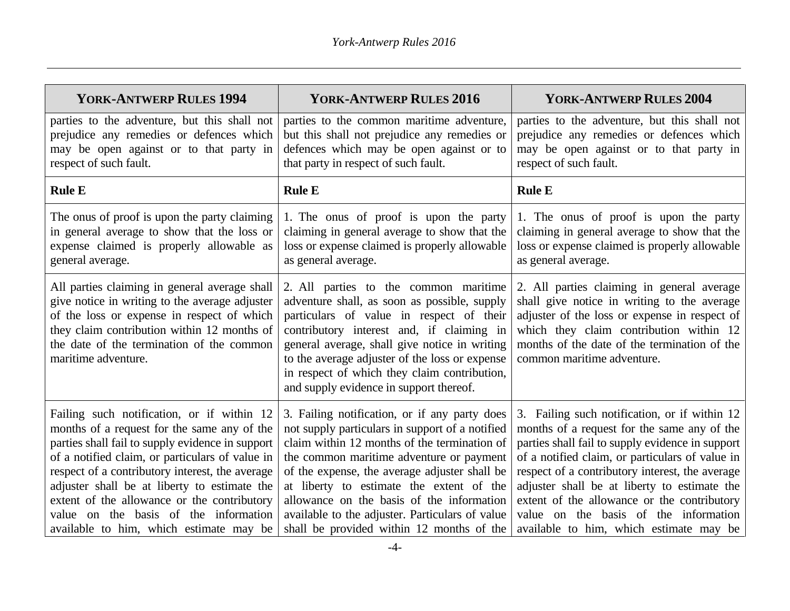| <b>YORK-ANTWERP RULES 1994</b>                                                                                                                                                                                                                                                                                                                                                                                                         | <b>YORK-ANTWERP RULES 2016</b>                                                                                                                                                                                                                                                                                                                                                                                                         | <b>YORK-ANTWERP RULES 2004</b>                                                                                                                                                                                                                                                                                                                                                                                                            |
|----------------------------------------------------------------------------------------------------------------------------------------------------------------------------------------------------------------------------------------------------------------------------------------------------------------------------------------------------------------------------------------------------------------------------------------|----------------------------------------------------------------------------------------------------------------------------------------------------------------------------------------------------------------------------------------------------------------------------------------------------------------------------------------------------------------------------------------------------------------------------------------|-------------------------------------------------------------------------------------------------------------------------------------------------------------------------------------------------------------------------------------------------------------------------------------------------------------------------------------------------------------------------------------------------------------------------------------------|
| parties to the adventure, but this shall not<br>prejudice any remedies or defences which<br>may be open against or to that party in<br>respect of such fault.                                                                                                                                                                                                                                                                          | parties to the common maritime adventure,<br>but this shall not prejudice any remedies or<br>defences which may be open against or to<br>that party in respect of such fault.                                                                                                                                                                                                                                                          | parties to the adventure, but this shall not<br>prejudice any remedies or defences which<br>may be open against or to that party in<br>respect of such fault.                                                                                                                                                                                                                                                                             |
| <b>Rule E</b>                                                                                                                                                                                                                                                                                                                                                                                                                          | <b>Rule E</b>                                                                                                                                                                                                                                                                                                                                                                                                                          | <b>Rule E</b>                                                                                                                                                                                                                                                                                                                                                                                                                             |
| The onus of proof is upon the party claiming<br>in general average to show that the loss or<br>expense claimed is properly allowable as<br>general average.                                                                                                                                                                                                                                                                            | 1. The onus of proof is upon the party<br>claiming in general average to show that the<br>loss or expense claimed is properly allowable<br>as general average.                                                                                                                                                                                                                                                                         | 1. The onus of proof is upon the party<br>claiming in general average to show that the<br>loss or expense claimed is properly allowable<br>as general average.                                                                                                                                                                                                                                                                            |
| All parties claiming in general average shall<br>give notice in writing to the average adjuster<br>of the loss or expense in respect of which<br>they claim contribution within 12 months of<br>the date of the termination of the common<br>maritime adventure.                                                                                                                                                                       | 2. All parties to the common maritime<br>adventure shall, as soon as possible, supply<br>particulars of value in respect of their<br>contributory interest and, if claiming in<br>general average, shall give notice in writing<br>to the average adjuster of the loss or expense<br>in respect of which they claim contribution,<br>and supply evidence in support thereof.                                                           | 2. All parties claiming in general average<br>shall give notice in writing to the average<br>adjuster of the loss or expense in respect of<br>which they claim contribution within 12<br>months of the date of the termination of the<br>common maritime adventure.                                                                                                                                                                       |
| Failing such notification, or if within 12<br>months of a request for the same any of the<br>parties shall fail to supply evidence in support<br>of a notified claim, or particulars of value in<br>respect of a contributory interest, the average<br>adjuster shall be at liberty to estimate the<br>extent of the allowance or the contributory<br>value on the basis of the information<br>available to him, which estimate may be | 3. Failing notification, or if any party does<br>not supply particulars in support of a notified<br>claim within 12 months of the termination of<br>the common maritime adventure or payment<br>of the expense, the average adjuster shall be<br>at liberty to estimate the extent of the<br>allowance on the basis of the information<br>available to the adjuster. Particulars of value<br>shall be provided within 12 months of the | 3. Failing such notification, or if within 12<br>months of a request for the same any of the<br>parties shall fail to supply evidence in support<br>of a notified claim, or particulars of value in<br>respect of a contributory interest, the average<br>adjuster shall be at liberty to estimate the<br>extent of the allowance or the contributory<br>value on the basis of the information<br>available to him, which estimate may be |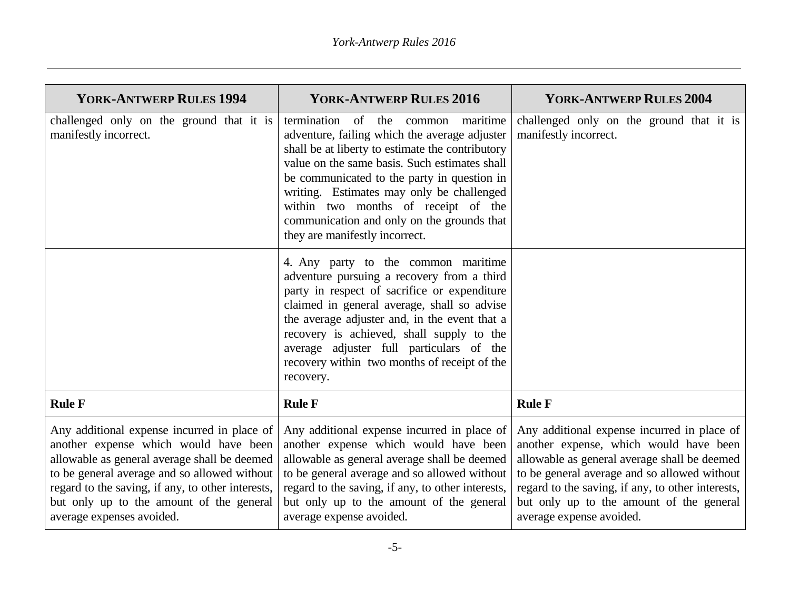| <b>YORK-ANTWERP RULES 1994</b>                                                                                                                                                                                                                                                                                     | <b>YORK-ANTWERP RULES 2016</b>                                                                                                                                                                                                                                                                                                                                                                                    | <b>YORK-ANTWERP RULES 2004</b>                                                                                                                                                                                                                                                                                     |
|--------------------------------------------------------------------------------------------------------------------------------------------------------------------------------------------------------------------------------------------------------------------------------------------------------------------|-------------------------------------------------------------------------------------------------------------------------------------------------------------------------------------------------------------------------------------------------------------------------------------------------------------------------------------------------------------------------------------------------------------------|--------------------------------------------------------------------------------------------------------------------------------------------------------------------------------------------------------------------------------------------------------------------------------------------------------------------|
| challenged only on the ground that it is<br>manifestly incorrect.                                                                                                                                                                                                                                                  | termination<br>of the common<br>maritime<br>adventure, failing which the average adjuster<br>shall be at liberty to estimate the contributory<br>value on the same basis. Such estimates shall<br>be communicated to the party in question in<br>writing. Estimates may only be challenged<br>within two months of receipt of the<br>communication and only on the grounds that<br>they are manifestly incorrect. | challenged only on the ground that it is<br>manifestly incorrect.                                                                                                                                                                                                                                                  |
|                                                                                                                                                                                                                                                                                                                    | 4. Any party to the common maritime<br>adventure pursuing a recovery from a third<br>party in respect of sacrifice or expenditure<br>claimed in general average, shall so advise<br>the average adjuster and, in the event that a<br>recovery is achieved, shall supply to the<br>average adjuster full particulars of the<br>recovery within two months of receipt of the<br>recovery.                           |                                                                                                                                                                                                                                                                                                                    |
| <b>Rule F</b>                                                                                                                                                                                                                                                                                                      | <b>Rule F</b>                                                                                                                                                                                                                                                                                                                                                                                                     | <b>Rule F</b>                                                                                                                                                                                                                                                                                                      |
| Any additional expense incurred in place of<br>another expense which would have been<br>allowable as general average shall be deemed<br>to be general average and so allowed without<br>regard to the saving, if any, to other interests,<br>but only up to the amount of the general<br>average expenses avoided. | Any additional expense incurred in place of<br>another expense which would have been<br>allowable as general average shall be deemed<br>to be general average and so allowed without<br>regard to the saving, if any, to other interests,<br>but only up to the amount of the general<br>average expense avoided.                                                                                                 | Any additional expense incurred in place of<br>another expense, which would have been<br>allowable as general average shall be deemed<br>to be general average and so allowed without<br>regard to the saving, if any, to other interests,<br>but only up to the amount of the general<br>average expense avoided. |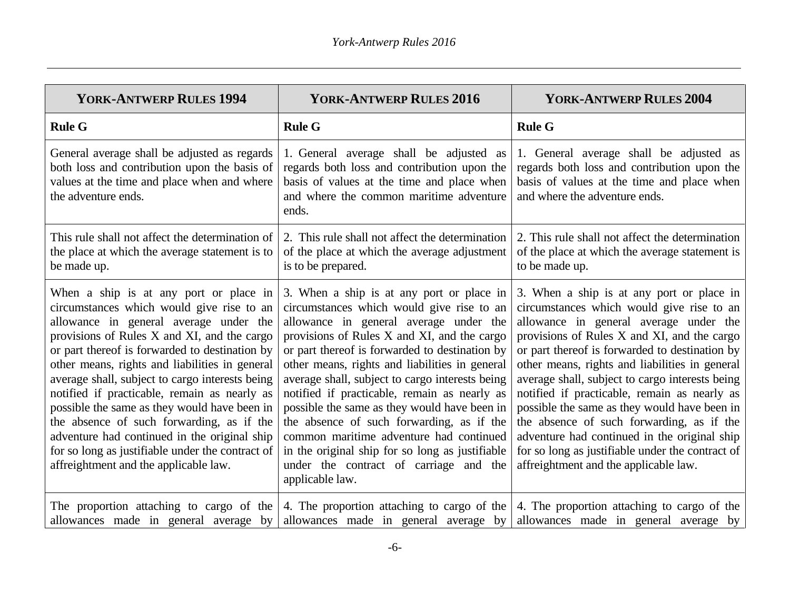| <b>YORK-ANTWERP RULES 1994</b>                                                                                                                                                                                                                                                                                                                                                                                                                                                                                                                                                                                                | YORK-ANTWERP RULES 2016                                                                                                                                                                                                                                                                                                                                                                                                                                                                                                                                                                                                                        | <b>YORK-ANTWERP RULES 2004</b>                                                                                                                                                                                                                                                                                                                                                                                                                                                                                                                                                                                                   |
|-------------------------------------------------------------------------------------------------------------------------------------------------------------------------------------------------------------------------------------------------------------------------------------------------------------------------------------------------------------------------------------------------------------------------------------------------------------------------------------------------------------------------------------------------------------------------------------------------------------------------------|------------------------------------------------------------------------------------------------------------------------------------------------------------------------------------------------------------------------------------------------------------------------------------------------------------------------------------------------------------------------------------------------------------------------------------------------------------------------------------------------------------------------------------------------------------------------------------------------------------------------------------------------|----------------------------------------------------------------------------------------------------------------------------------------------------------------------------------------------------------------------------------------------------------------------------------------------------------------------------------------------------------------------------------------------------------------------------------------------------------------------------------------------------------------------------------------------------------------------------------------------------------------------------------|
| <b>Rule G</b>                                                                                                                                                                                                                                                                                                                                                                                                                                                                                                                                                                                                                 | <b>Rule G</b>                                                                                                                                                                                                                                                                                                                                                                                                                                                                                                                                                                                                                                  | <b>Rule G</b>                                                                                                                                                                                                                                                                                                                                                                                                                                                                                                                                                                                                                    |
| General average shall be adjusted as regards<br>both loss and contribution upon the basis of<br>values at the time and place when and where<br>the adventure ends.                                                                                                                                                                                                                                                                                                                                                                                                                                                            | 1. General average shall be adjusted as<br>regards both loss and contribution upon the<br>basis of values at the time and place when<br>and where the common maritime adventure<br>ends.                                                                                                                                                                                                                                                                                                                                                                                                                                                       | 1. General average shall be adjusted as<br>regards both loss and contribution upon the<br>basis of values at the time and place when<br>and where the adventure ends.                                                                                                                                                                                                                                                                                                                                                                                                                                                            |
| This rule shall not affect the determination of<br>the place at which the average statement is to<br>be made up.                                                                                                                                                                                                                                                                                                                                                                                                                                                                                                              | 2. This rule shall not affect the determination<br>of the place at which the average adjustment<br>is to be prepared.                                                                                                                                                                                                                                                                                                                                                                                                                                                                                                                          | 2. This rule shall not affect the determination<br>of the place at which the average statement is<br>to be made up.                                                                                                                                                                                                                                                                                                                                                                                                                                                                                                              |
| When a ship is at any port or place in<br>circumstances which would give rise to an<br>allowance in general average under the<br>provisions of Rules X and XI, and the cargo<br>or part thereof is forwarded to destination by<br>other means, rights and liabilities in general<br>average shall, subject to cargo interests being<br>notified if practicable, remain as nearly as<br>possible the same as they would have been in<br>the absence of such forwarding, as if the<br>adventure had continued in the original ship<br>for so long as justifiable under the contract of<br>affreightment and the applicable law. | 3. When a ship is at any port or place in<br>circumstances which would give rise to an<br>allowance in general average under the<br>provisions of Rules X and XI, and the cargo<br>or part thereof is forwarded to destination by<br>other means, rights and liabilities in general<br>average shall, subject to cargo interests being<br>notified if practicable, remain as nearly as<br>possible the same as they would have been in<br>the absence of such forwarding, as if the<br>common maritime adventure had continued<br>in the original ship for so long as justifiable<br>under the contract of carriage and the<br>applicable law. | 3. When a ship is at any port or place in<br>circumstances which would give rise to an<br>allowance in general average under the<br>provisions of Rules X and XI, and the cargo<br>or part thereof is forwarded to destination by<br>other means, rights and liabilities in general<br>average shall, subject to cargo interests being<br>notified if practicable, remain as nearly as<br>possible the same as they would have been in<br>the absence of such forwarding, as if the<br>adventure had continued in the original ship<br>for so long as justifiable under the contract of<br>affreightment and the applicable law. |
| The proportion attaching to cargo of the<br>allowances made in general average by                                                                                                                                                                                                                                                                                                                                                                                                                                                                                                                                             | 4. The proportion attaching to cargo of the<br>allowances made in general average by                                                                                                                                                                                                                                                                                                                                                                                                                                                                                                                                                           | 4. The proportion attaching to cargo of the<br>allowances made in general average by                                                                                                                                                                                                                                                                                                                                                                                                                                                                                                                                             |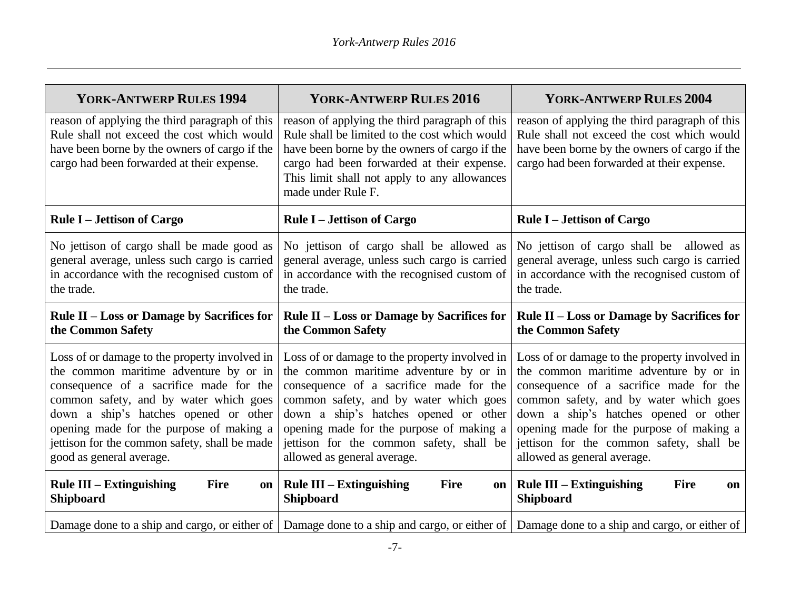| <b>YORK-ANTWERP RULES 1994</b>                                                                                                                                                              | <b>YORK-ANTWERP RULES 2016</b>                                                                                                                                                                                                                                       | <b>YORK-ANTWERP RULES 2004</b>                                                                                                                                                              |
|---------------------------------------------------------------------------------------------------------------------------------------------------------------------------------------------|----------------------------------------------------------------------------------------------------------------------------------------------------------------------------------------------------------------------------------------------------------------------|---------------------------------------------------------------------------------------------------------------------------------------------------------------------------------------------|
| reason of applying the third paragraph of this<br>Rule shall not exceed the cost which would<br>have been borne by the owners of cargo if the<br>cargo had been forwarded at their expense. | reason of applying the third paragraph of this<br>Rule shall be limited to the cost which would<br>have been borne by the owners of cargo if the<br>cargo had been forwarded at their expense.<br>This limit shall not apply to any allowances<br>made under Rule F. | reason of applying the third paragraph of this<br>Rule shall not exceed the cost which would<br>have been borne by the owners of cargo if the<br>cargo had been forwarded at their expense. |
| <b>Rule I</b> – Jettison of Cargo                                                                                                                                                           | <b>Rule I</b> – Jettison of Cargo                                                                                                                                                                                                                                    | <b>Rule I</b> – Jettison of Cargo                                                                                                                                                           |
| No jettison of cargo shall be made good as                                                                                                                                                  | No jettison of cargo shall be allowed as                                                                                                                                                                                                                             | No jettison of cargo shall be allowed as                                                                                                                                                    |
| general average, unless such cargo is carried                                                                                                                                               | general average, unless such cargo is carried                                                                                                                                                                                                                        | general average, unless such cargo is carried                                                                                                                                               |
| in accordance with the recognised custom of                                                                                                                                                 | in accordance with the recognised custom of                                                                                                                                                                                                                          | in accordance with the recognised custom of                                                                                                                                                 |
| the trade.                                                                                                                                                                                  | the trade.                                                                                                                                                                                                                                                           | the trade.                                                                                                                                                                                  |
| Rule II – Loss or Damage by Sacrifices for                                                                                                                                                  | Rule II – Loss or Damage by Sacrifices for                                                                                                                                                                                                                           | Rule II – Loss or Damage by Sacrifices for                                                                                                                                                  |
| the Common Safety                                                                                                                                                                           | the Common Safety                                                                                                                                                                                                                                                    | the Common Safety                                                                                                                                                                           |
| Loss of or damage to the property involved in                                                                                                                                               | Loss of or damage to the property involved in                                                                                                                                                                                                                        | Loss of or damage to the property involved in                                                                                                                                               |
| the common maritime adventure by or in                                                                                                                                                      | the common maritime adventure by or in                                                                                                                                                                                                                               | the common maritime adventure by or in                                                                                                                                                      |
| consequence of a sacrifice made for the                                                                                                                                                     | consequence of a sacrifice made for the                                                                                                                                                                                                                              | consequence of a sacrifice made for the                                                                                                                                                     |
| common safety, and by water which goes                                                                                                                                                      | common safety, and by water which goes                                                                                                                                                                                                                               | common safety, and by water which goes                                                                                                                                                      |
| down a ship's hatches opened or other                                                                                                                                                       | down a ship's hatches opened or other                                                                                                                                                                                                                                | down a ship's hatches opened or other                                                                                                                                                       |
| opening made for the purpose of making a                                                                                                                                                    | opening made for the purpose of making a                                                                                                                                                                                                                             | opening made for the purpose of making a                                                                                                                                                    |
| jettison for the common safety, shall be made                                                                                                                                               | jettison for the common safety, shall be                                                                                                                                                                                                                             | jettison for the common safety, shall be                                                                                                                                                    |
| good as general average.                                                                                                                                                                    | allowed as general average.                                                                                                                                                                                                                                          | allowed as general average.                                                                                                                                                                 |
| Rule $III - Extinguishing$                                                                                                                                                                  | <b>Rule III – Extinguishing</b>                                                                                                                                                                                                                                      | <b>Rule III - Extinguishing</b>                                                                                                                                                             |
| <b>Fire</b>                                                                                                                                                                                 | <b>Fire</b>                                                                                                                                                                                                                                                          | <b>Fire</b>                                                                                                                                                                                 |
| on                                                                                                                                                                                          | <b>on</b>                                                                                                                                                                                                                                                            | on                                                                                                                                                                                          |
| Shipboard                                                                                                                                                                                   | <b>Shipboard</b>                                                                                                                                                                                                                                                     | Shipboard                                                                                                                                                                                   |
|                                                                                                                                                                                             | Damage done to a ship and cargo, or either of Damage done to a ship and cargo, or either of Damage done to a ship and cargo, or either of                                                                                                                            |                                                                                                                                                                                             |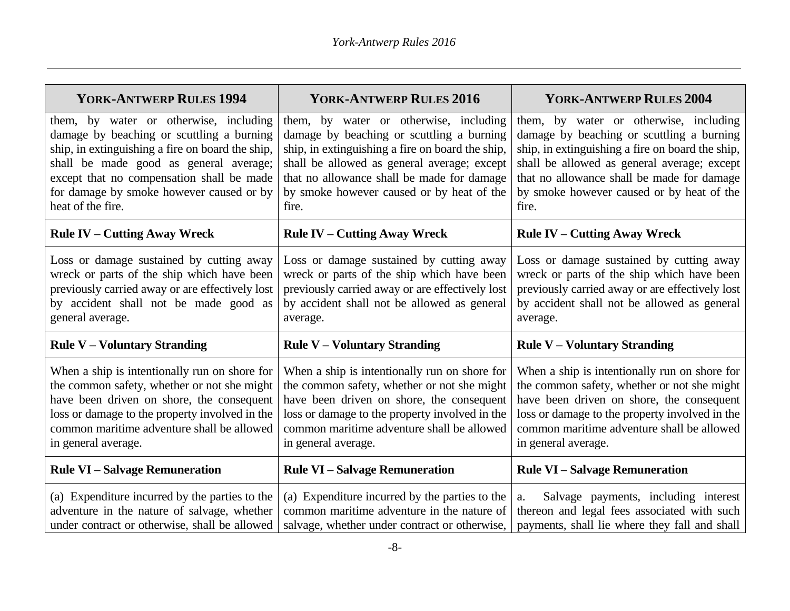| <b>YORK-ANTWERP RULES 1994</b>                                                                                                                                                                                                                                                                  | <b>YORK-ANTWERP RULES 2016</b>                                                                                                                                                                                                                                                             | <b>YORK-ANTWERP RULES 2004</b>                                                                                                                                                                                                                                                             |
|-------------------------------------------------------------------------------------------------------------------------------------------------------------------------------------------------------------------------------------------------------------------------------------------------|--------------------------------------------------------------------------------------------------------------------------------------------------------------------------------------------------------------------------------------------------------------------------------------------|--------------------------------------------------------------------------------------------------------------------------------------------------------------------------------------------------------------------------------------------------------------------------------------------|
| them, by water or otherwise, including<br>damage by beaching or scuttling a burning<br>ship, in extinguishing a fire on board the ship,<br>shall be made good as general average;<br>except that no compensation shall be made<br>for damage by smoke however caused or by<br>heat of the fire. | them, by water or otherwise, including<br>damage by beaching or scuttling a burning<br>ship, in extinguishing a fire on board the ship,<br>shall be allowed as general average; except<br>that no allowance shall be made for damage<br>by smoke however caused or by heat of the<br>fire. | them, by water or otherwise, including<br>damage by beaching or scuttling a burning<br>ship, in extinguishing a fire on board the ship,<br>shall be allowed as general average; except<br>that no allowance shall be made for damage<br>by smoke however caused or by heat of the<br>fire. |
| <b>Rule IV – Cutting Away Wreck</b>                                                                                                                                                                                                                                                             | <b>Rule IV – Cutting Away Wreck</b>                                                                                                                                                                                                                                                        | <b>Rule IV – Cutting Away Wreck</b>                                                                                                                                                                                                                                                        |
| Loss or damage sustained by cutting away<br>wreck or parts of the ship which have been<br>previously carried away or are effectively lost<br>by accident shall not be made good as<br>general average.                                                                                          | Loss or damage sustained by cutting away<br>wreck or parts of the ship which have been<br>previously carried away or are effectively lost<br>by accident shall not be allowed as general<br>average.                                                                                       | Loss or damage sustained by cutting away<br>wreck or parts of the ship which have been<br>previously carried away or are effectively lost<br>by accident shall not be allowed as general<br>average.                                                                                       |
| <b>Rule V - Voluntary Stranding</b>                                                                                                                                                                                                                                                             | <b>Rule V – Voluntary Stranding</b>                                                                                                                                                                                                                                                        | <b>Rule V – Voluntary Stranding</b>                                                                                                                                                                                                                                                        |
| When a ship is intentionally run on shore for<br>the common safety, whether or not she might<br>have been driven on shore, the consequent<br>loss or damage to the property involved in the<br>common maritime adventure shall be allowed<br>in general average.                                | When a ship is intentionally run on shore for<br>the common safety, whether or not she might<br>have been driven on shore, the consequent<br>loss or damage to the property involved in the<br>common maritime adventure shall be allowed<br>in general average.                           | When a ship is intentionally run on shore for<br>the common safety, whether or not she might<br>have been driven on shore, the consequent<br>loss or damage to the property involved in the<br>common maritime adventure shall be allowed<br>in general average.                           |
| <b>Rule VI - Salvage Remuneration</b>                                                                                                                                                                                                                                                           | <b>Rule VI - Salvage Remuneration</b>                                                                                                                                                                                                                                                      | <b>Rule VI - Salvage Remuneration</b>                                                                                                                                                                                                                                                      |
| (a) Expenditure incurred by the parties to the<br>adventure in the nature of salvage, whether<br>under contract or otherwise, shall be allowed                                                                                                                                                  | (a) Expenditure incurred by the parties to the<br>common maritime adventure in the nature of<br>salvage, whether under contract or otherwise,                                                                                                                                              | Salvage payments, including interest<br>a.<br>thereon and legal fees associated with such<br>payments, shall lie where they fall and shall                                                                                                                                                 |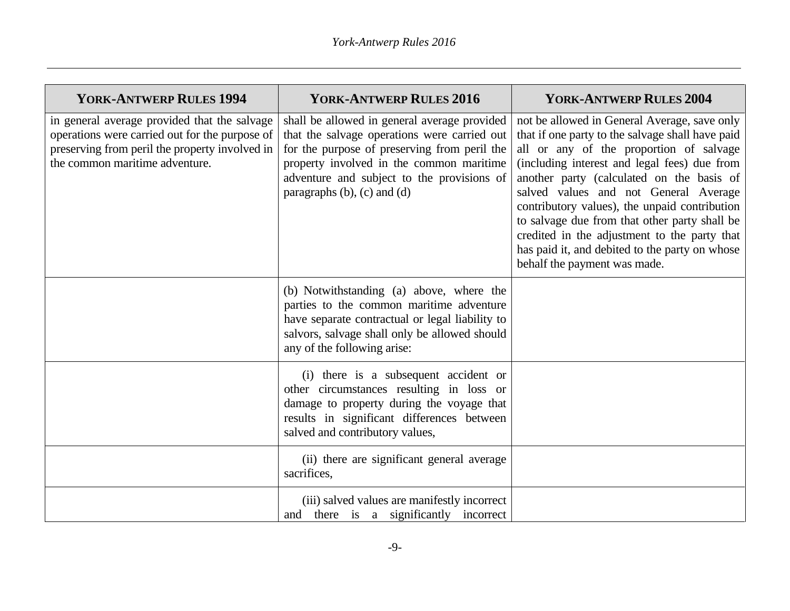| <b>YORK-ANTWERP RULES 1994</b>                                                                                                                                                     | <b>YORK-ANTWERP RULES 2016</b>                                                                                                                                                                                                                                               | <b>YORK-ANTWERP RULES 2004</b>                                                                                                                                                                                                                                                                                                                                                                                                                                                                                        |
|------------------------------------------------------------------------------------------------------------------------------------------------------------------------------------|------------------------------------------------------------------------------------------------------------------------------------------------------------------------------------------------------------------------------------------------------------------------------|-----------------------------------------------------------------------------------------------------------------------------------------------------------------------------------------------------------------------------------------------------------------------------------------------------------------------------------------------------------------------------------------------------------------------------------------------------------------------------------------------------------------------|
| in general average provided that the salvage<br>operations were carried out for the purpose of<br>preserving from peril the property involved in<br>the common maritime adventure. | shall be allowed in general average provided<br>that the salvage operations were carried out<br>for the purpose of preserving from peril the<br>property involved in the common maritime<br>adventure and subject to the provisions of<br>paragraphs $(b)$ , $(c)$ and $(d)$ | not be allowed in General Average, save only<br>that if one party to the salvage shall have paid<br>all or any of the proportion of salvage<br>(including interest and legal fees) due from<br>another party (calculated on the basis of<br>salved values and not General Average<br>contributory values), the unpaid contribution<br>to salvage due from that other party shall be<br>credited in the adjustment to the party that<br>has paid it, and debited to the party on whose<br>behalf the payment was made. |
|                                                                                                                                                                                    | (b) Notwithstanding (a) above, where the<br>parties to the common maritime adventure<br>have separate contractual or legal liability to<br>salvors, salvage shall only be allowed should<br>any of the following arise:                                                      |                                                                                                                                                                                                                                                                                                                                                                                                                                                                                                                       |
|                                                                                                                                                                                    | (i) there is a subsequent accident or<br>other circumstances resulting in loss or<br>damage to property during the voyage that<br>results in significant differences between<br>salved and contributory values,                                                              |                                                                                                                                                                                                                                                                                                                                                                                                                                                                                                                       |
|                                                                                                                                                                                    | (ii) there are significant general average<br>sacrifices,                                                                                                                                                                                                                    |                                                                                                                                                                                                                                                                                                                                                                                                                                                                                                                       |
|                                                                                                                                                                                    | (iii) salved values are manifestly incorrect<br>there is a significantly incorrect<br>and                                                                                                                                                                                    |                                                                                                                                                                                                                                                                                                                                                                                                                                                                                                                       |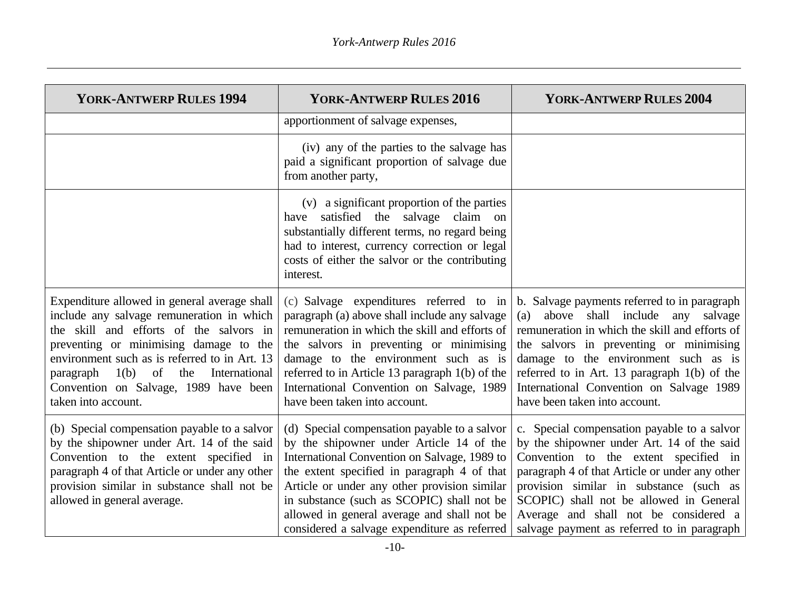| <b>YORK-ANTWERP RULES 1994</b>                                                                                                                                                                                                                                                                                                                      | <b>YORK-ANTWERP RULES 2016</b>                                                                                                                                                                                                                                                                                                                                                       | <b>YORK-ANTWERP RULES 2004</b>                                                                                                                                                                                                                                                                                                                                     |
|-----------------------------------------------------------------------------------------------------------------------------------------------------------------------------------------------------------------------------------------------------------------------------------------------------------------------------------------------------|--------------------------------------------------------------------------------------------------------------------------------------------------------------------------------------------------------------------------------------------------------------------------------------------------------------------------------------------------------------------------------------|--------------------------------------------------------------------------------------------------------------------------------------------------------------------------------------------------------------------------------------------------------------------------------------------------------------------------------------------------------------------|
|                                                                                                                                                                                                                                                                                                                                                     | apportionment of salvage expenses,                                                                                                                                                                                                                                                                                                                                                   |                                                                                                                                                                                                                                                                                                                                                                    |
|                                                                                                                                                                                                                                                                                                                                                     | (iv) any of the parties to the salvage has<br>paid a significant proportion of salvage due<br>from another party,                                                                                                                                                                                                                                                                    |                                                                                                                                                                                                                                                                                                                                                                    |
|                                                                                                                                                                                                                                                                                                                                                     | (v) a significant proportion of the parties<br>satisfied the salvage claim on<br>have<br>substantially different terms, no regard being<br>had to interest, currency correction or legal<br>costs of either the salvor or the contributing<br>interest.                                                                                                                              |                                                                                                                                                                                                                                                                                                                                                                    |
| Expenditure allowed in general average shall<br>include any salvage remuneration in which<br>the skill and efforts of the salvors in<br>preventing or minimising damage to the<br>environment such as is referred to in Art. 13<br>$paragraph \t1(b)$<br>of<br>the<br>International<br>Convention on Salvage, 1989 have been<br>taken into account. | (c) Salvage expenditures referred to in<br>paragraph (a) above shall include any salvage<br>remuneration in which the skill and efforts of<br>the salvors in preventing or minimising<br>damage to the environment such as is<br>referred to in Article 13 paragraph 1(b) of the<br>International Convention on Salvage, 1989<br>have been taken into account.                       | b. Salvage payments referred to in paragraph<br>above shall include<br>any<br>salvage<br>(a)<br>remuneration in which the skill and efforts of<br>the salvors in preventing or minimising<br>damage to the environment such as is<br>referred to in Art. 13 paragraph 1(b) of the<br>International Convention on Salvage 1989<br>have been taken into account.     |
| (b) Special compensation payable to a salvor<br>by the shipowner under Art. 14 of the said<br>Convention to the extent specified in<br>paragraph 4 of that Article or under any other<br>provision similar in substance shall not be<br>allowed in general average.                                                                                 | (d) Special compensation payable to a salvor<br>by the shipowner under Article 14 of the<br>International Convention on Salvage, 1989 to<br>the extent specified in paragraph 4 of that<br>Article or under any other provision similar<br>in substance (such as SCOPIC) shall not be<br>allowed in general average and shall not be<br>considered a salvage expenditure as referred | c. Special compensation payable to a salvor<br>by the shipowner under Art. 14 of the said<br>Convention to the extent specified in<br>paragraph 4 of that Article or under any other<br>provision similar in substance (such as<br>SCOPIC) shall not be allowed in General<br>Average and shall not be considered a<br>salvage payment as referred to in paragraph |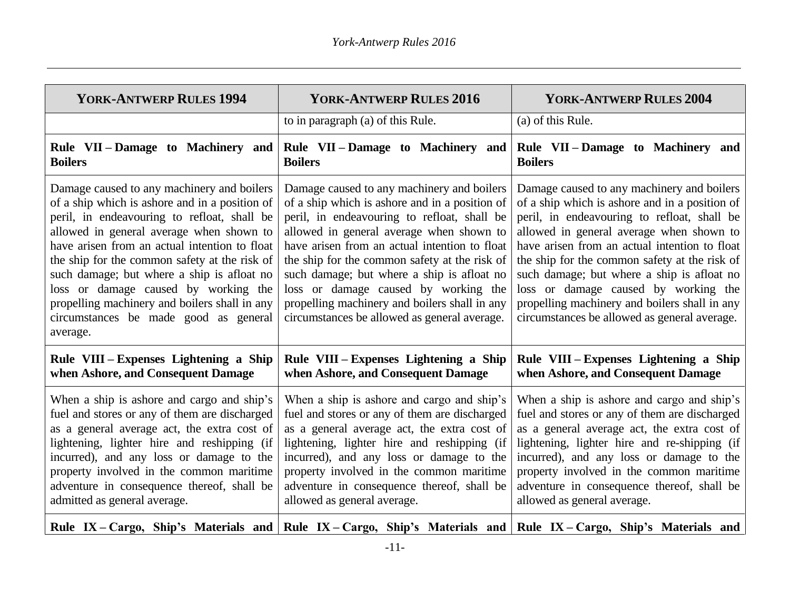| <b>YORK-ANTWERP RULES 1994</b>                                                                                                                                                                                                                                                                                                                                                                                                                                                        | <b>YORK-ANTWERP RULES 2016</b>                                                                                                                                                                                                                                                                                                                                                                                                                                                   | <b>YORK-ANTWERP RULES 2004</b>                                                                                                                                                                                                                                                                                                                                                                                                                                                   |
|---------------------------------------------------------------------------------------------------------------------------------------------------------------------------------------------------------------------------------------------------------------------------------------------------------------------------------------------------------------------------------------------------------------------------------------------------------------------------------------|----------------------------------------------------------------------------------------------------------------------------------------------------------------------------------------------------------------------------------------------------------------------------------------------------------------------------------------------------------------------------------------------------------------------------------------------------------------------------------|----------------------------------------------------------------------------------------------------------------------------------------------------------------------------------------------------------------------------------------------------------------------------------------------------------------------------------------------------------------------------------------------------------------------------------------------------------------------------------|
|                                                                                                                                                                                                                                                                                                                                                                                                                                                                                       | to in paragraph (a) of this Rule.                                                                                                                                                                                                                                                                                                                                                                                                                                                | (a) of this Rule.                                                                                                                                                                                                                                                                                                                                                                                                                                                                |
| Rule VII-Damage to Machinery and<br><b>Boilers</b>                                                                                                                                                                                                                                                                                                                                                                                                                                    | Rule VII – Damage to Machinery and<br><b>Boilers</b>                                                                                                                                                                                                                                                                                                                                                                                                                             | Rule VII-Damage to Machinery and<br><b>Boilers</b>                                                                                                                                                                                                                                                                                                                                                                                                                               |
| Damage caused to any machinery and boilers<br>of a ship which is ashore and in a position of<br>peril, in endeavouring to refloat, shall be<br>allowed in general average when shown to<br>have arisen from an actual intention to float<br>the ship for the common safety at the risk of<br>such damage; but where a ship is afloat no<br>loss or damage caused by working the<br>propelling machinery and boilers shall in any<br>circumstances be made good as general<br>average. | Damage caused to any machinery and boilers<br>of a ship which is ashore and in a position of<br>peril, in endeavouring to refloat, shall be<br>allowed in general average when shown to<br>have arisen from an actual intention to float<br>the ship for the common safety at the risk of<br>such damage; but where a ship is afloat no<br>loss or damage caused by working the<br>propelling machinery and boilers shall in any<br>circumstances be allowed as general average. | Damage caused to any machinery and boilers<br>of a ship which is ashore and in a position of<br>peril, in endeavouring to refloat, shall be<br>allowed in general average when shown to<br>have arisen from an actual intention to float<br>the ship for the common safety at the risk of<br>such damage; but where a ship is afloat no<br>loss or damage caused by working the<br>propelling machinery and boilers shall in any<br>circumstances be allowed as general average. |
| Rule VIII – Expenses Lightening a Ship<br>when Ashore, and Consequent Damage                                                                                                                                                                                                                                                                                                                                                                                                          | Rule VIII – Expenses Lightening a Ship<br>when Ashore, and Consequent Damage                                                                                                                                                                                                                                                                                                                                                                                                     | Rule VIII - Expenses Lightening a Ship<br>when Ashore, and Consequent Damage                                                                                                                                                                                                                                                                                                                                                                                                     |
| When a ship is ashore and cargo and ship's<br>fuel and stores or any of them are discharged<br>as a general average act, the extra cost of<br>lightening, lighter hire and reshipping (if<br>incurred), and any loss or damage to the<br>property involved in the common maritime<br>adventure in consequence thereof, shall be<br>admitted as general average.                                                                                                                       | When a ship is ashore and cargo and ship's<br>fuel and stores or any of them are discharged<br>as a general average act, the extra cost of<br>lightening, lighter hire and reshipping (if<br>incurred), and any loss or damage to the<br>property involved in the common maritime<br>adventure in consequence thereof, shall be<br>allowed as general average.                                                                                                                   | When a ship is ashore and cargo and ship's<br>fuel and stores or any of them are discharged<br>as a general average act, the extra cost of<br>lightening, lighter hire and re-shipping (if<br>incurred), and any loss or damage to the<br>property involved in the common maritime<br>adventure in consequence thereof, shall be<br>allowed as general average.                                                                                                                  |
|                                                                                                                                                                                                                                                                                                                                                                                                                                                                                       | Rule IX – Cargo, Ship's Materials and Rule IX – Cargo, Ship's Materials and Rule IX – Cargo, Ship's Materials and                                                                                                                                                                                                                                                                                                                                                                |                                                                                                                                                                                                                                                                                                                                                                                                                                                                                  |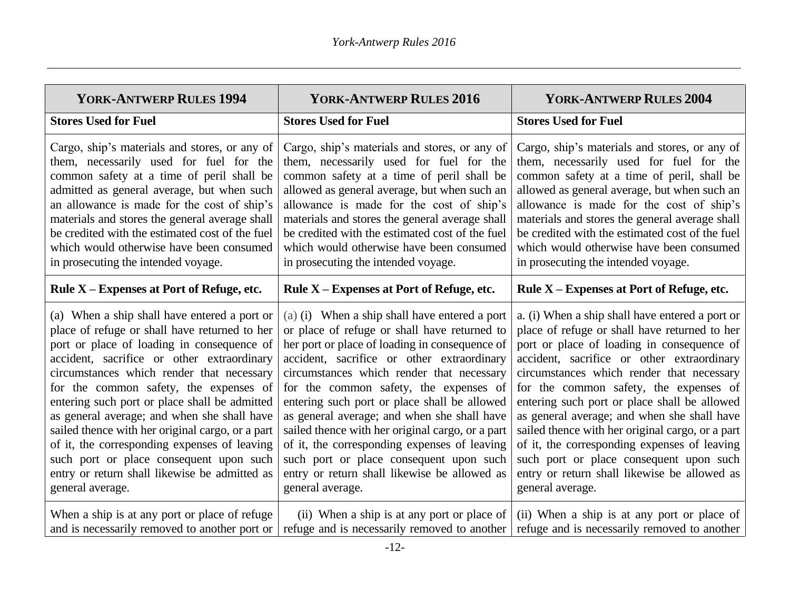| <b>YORK-ANTWERP RULES 1994</b>                   | <b>YORK-ANTWERP RULES 2016</b>                   | <b>YORK-ANTWERP RULES 2004</b>                   |
|--------------------------------------------------|--------------------------------------------------|--------------------------------------------------|
| <b>Stores Used for Fuel</b>                      | <b>Stores Used for Fuel</b>                      | <b>Stores Used for Fuel</b>                      |
| Cargo, ship's materials and stores, or any of    | Cargo, ship's materials and stores, or any of    | Cargo, ship's materials and stores, or any of    |
| them, necessarily used for fuel for the          | them, necessarily used for fuel for the          | them, necessarily used for fuel for the          |
| common safety at a time of peril shall be        | common safety at a time of peril shall be        | common safety at a time of peril, shall be       |
| admitted as general average, but when such       | allowed as general average, but when such an     | allowed as general average, but when such an     |
| an allowance is made for the cost of ship's      | allowance is made for the cost of ship's         | allowance is made for the cost of ship's         |
| materials and stores the general average shall   | materials and stores the general average shall   | materials and stores the general average shall   |
| be credited with the estimated cost of the fuel  | be credited with the estimated cost of the fuel  | be credited with the estimated cost of the fuel  |
| which would otherwise have been consumed         | which would otherwise have been consumed         | which would otherwise have been consumed         |
| in prosecuting the intended voyage.              | in prosecuting the intended voyage.              | in prosecuting the intended voyage.              |
| Rule X – Expenses at Port of Refuge, etc.        | Rule X – Expenses at Port of Refuge, etc.        | Rule X – Expenses at Port of Refuge, etc.        |
| (a) When a ship shall have entered a port or     | (a) (i) When a ship shall have entered a port    | a. (i) When a ship shall have entered a port or  |
| place of refuge or shall have returned to her    | or place of refuge or shall have returned to     | place of refuge or shall have returned to her    |
| port or place of loading in consequence of       | her port or place of loading in consequence of   | port or place of loading in consequence of       |
| accident, sacrifice or other extraordinary       | accident, sacrifice or other extraordinary       | accident, sacrifice or other extraordinary       |
| circumstances which render that necessary        | circumstances which render that necessary        | circumstances which render that necessary        |
| for the common safety, the expenses of           | for the common safety, the expenses of           | for the common safety, the expenses of           |
| entering such port or place shall be admitted    | entering such port or place shall be allowed     | entering such port or place shall be allowed     |
| as general average; and when she shall have      | as general average; and when she shall have      | as general average; and when she shall have      |
| sailed thence with her original cargo, or a part | sailed thence with her original cargo, or a part | sailed thence with her original cargo, or a part |
| of it, the corresponding expenses of leaving     | of it, the corresponding expenses of leaving     | of it, the corresponding expenses of leaving     |
| such port or place consequent upon such          | such port or place consequent upon such          | such port or place consequent upon such          |
| entry or return shall likewise be admitted as    | entry or return shall likewise be allowed as     | entry or return shall likewise be allowed as     |
| general average.                                 | general average.                                 | general average.                                 |
| When a ship is at any port or place of refuge    | (ii) When a ship is at any port or place of      | (ii) When a ship is at any port or place of      |
| and is necessarily removed to another port or    | refuge and is necessarily removed to another     | refuge and is necessarily removed to another     |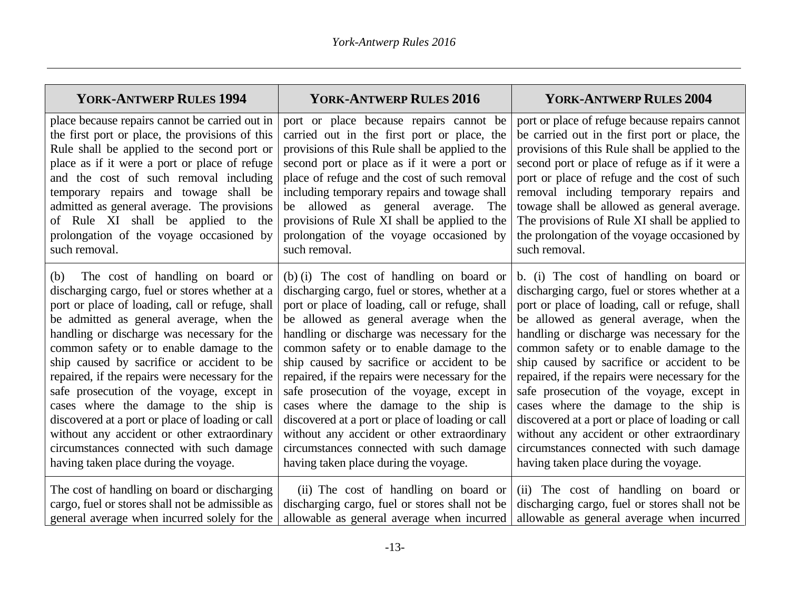| <b>YORK-ANTWERP RULES 1994</b>                                                                                                                                                                                                                                                                                                                                                                                                                                                                                                                                                                                                                                     | <b>YORK-ANTWERP RULES 2016</b>                                                                                                                                                                                                                                                                                                                                                                                                                                                                                                                                                                                                                                     | <b>YORK-ANTWERP RULES 2004</b>                                                                                                                                                                                                                                                                                                                                                                                                                                                                                                                                                                                                                                    |
|--------------------------------------------------------------------------------------------------------------------------------------------------------------------------------------------------------------------------------------------------------------------------------------------------------------------------------------------------------------------------------------------------------------------------------------------------------------------------------------------------------------------------------------------------------------------------------------------------------------------------------------------------------------------|--------------------------------------------------------------------------------------------------------------------------------------------------------------------------------------------------------------------------------------------------------------------------------------------------------------------------------------------------------------------------------------------------------------------------------------------------------------------------------------------------------------------------------------------------------------------------------------------------------------------------------------------------------------------|-------------------------------------------------------------------------------------------------------------------------------------------------------------------------------------------------------------------------------------------------------------------------------------------------------------------------------------------------------------------------------------------------------------------------------------------------------------------------------------------------------------------------------------------------------------------------------------------------------------------------------------------------------------------|
| place because repairs cannot be carried out in<br>the first port or place, the provisions of this<br>Rule shall be applied to the second port or<br>place as if it were a port or place of refuge<br>and the cost of such removal including<br>temporary repairs and towage shall be<br>admitted as general average. The provisions<br>of Rule XI shall be applied to the<br>prolongation of the voyage occasioned by<br>such removal.                                                                                                                                                                                                                             | port or place because repairs cannot be<br>carried out in the first port or place, the<br>provisions of this Rule shall be applied to the<br>second port or place as if it were a port or<br>place of refuge and the cost of such removal<br>including temporary repairs and towage shall<br>be allowed as general average.<br>The<br>provisions of Rule XI shall be applied to the<br>prolongation of the voyage occasioned by<br>such removal.                                                                                                                                                                                                                   | port or place of refuge because repairs cannot<br>be carried out in the first port or place, the<br>provisions of this Rule shall be applied to the<br>second port or place of refuge as if it were a<br>port or place of refuge and the cost of such<br>removal including temporary repairs and<br>towage shall be allowed as general average.<br>The provisions of Rule XI shall be applied to<br>the prolongation of the voyage occasioned by<br>such removal.                                                                                                                                                                                                 |
| The cost of handling on board or<br>(b)<br>discharging cargo, fuel or stores whether at a<br>port or place of loading, call or refuge, shall<br>be admitted as general average, when the<br>handling or discharge was necessary for the<br>common safety or to enable damage to the<br>ship caused by sacrifice or accident to be<br>repaired, if the repairs were necessary for the<br>safe prosecution of the voyage, except in<br>cases where the damage to the ship is<br>discovered at a port or place of loading or call<br>without any accident or other extraordinary<br>circumstances connected with such damage<br>having taken place during the voyage. | (b) (i) The cost of handling on board or<br>discharging cargo, fuel or stores, whether at a<br>port or place of loading, call or refuge, shall<br>be allowed as general average when the<br>handling or discharge was necessary for the<br>common safety or to enable damage to the<br>ship caused by sacrifice or accident to be<br>repaired, if the repairs were necessary for the<br>safe prosecution of the voyage, except in<br>cases where the damage to the ship is<br>discovered at a port or place of loading or call<br>without any accident or other extraordinary<br>circumstances connected with such damage<br>having taken place during the voyage. | b. (i) The cost of handling on board or<br>discharging cargo, fuel or stores whether at a<br>port or place of loading, call or refuge, shall<br>be allowed as general average, when the<br>handling or discharge was necessary for the<br>common safety or to enable damage to the<br>ship caused by sacrifice or accident to be<br>repaired, if the repairs were necessary for the<br>safe prosecution of the voyage, except in<br>cases where the damage to the ship is<br>discovered at a port or place of loading or call<br>without any accident or other extraordinary<br>circumstances connected with such damage<br>having taken place during the voyage. |
| The cost of handling on board or discharging<br>cargo, fuel or stores shall not be admissible as<br>general average when incurred solely for the                                                                                                                                                                                                                                                                                                                                                                                                                                                                                                                   | (ii) The cost of handling on board or<br>discharging cargo, fuel or stores shall not be<br>allowable as general average when incurred                                                                                                                                                                                                                                                                                                                                                                                                                                                                                                                              | (ii) The cost of handling on board or<br>discharging cargo, fuel or stores shall not be<br>allowable as general average when incurred                                                                                                                                                                                                                                                                                                                                                                                                                                                                                                                             |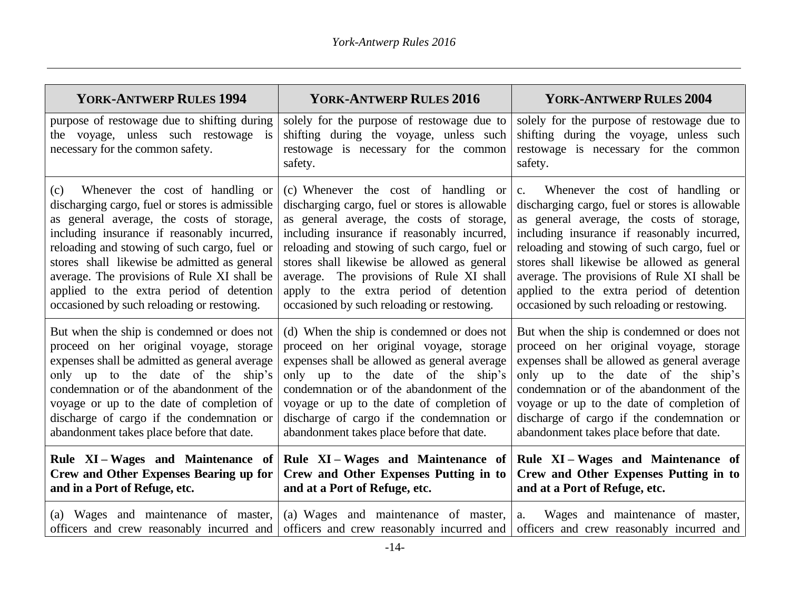| <b>YORK-ANTWERP RULES 1994</b>                                                                                                                                                                                                                                                                                                                                                                                                  | <b>YORK-ANTWERP RULES 2016</b>                                                                                                                                                                                                                                                                                                                                                                                        | <b>YORK-ANTWERP RULES 2004</b>                                                                                                                                                                                                                                                                                                                                                                                            |
|---------------------------------------------------------------------------------------------------------------------------------------------------------------------------------------------------------------------------------------------------------------------------------------------------------------------------------------------------------------------------------------------------------------------------------|-----------------------------------------------------------------------------------------------------------------------------------------------------------------------------------------------------------------------------------------------------------------------------------------------------------------------------------------------------------------------------------------------------------------------|---------------------------------------------------------------------------------------------------------------------------------------------------------------------------------------------------------------------------------------------------------------------------------------------------------------------------------------------------------------------------------------------------------------------------|
| purpose of restowage due to shifting during<br>the voyage, unless such restowage is<br>necessary for the common safety.                                                                                                                                                                                                                                                                                                         | solely for the purpose of restowage due to<br>shifting during the voyage, unless such<br>restowage is necessary for the common<br>safety.                                                                                                                                                                                                                                                                             | solely for the purpose of restowage due to<br>shifting during the voyage, unless such<br>restowage is necessary for the common<br>safety.                                                                                                                                                                                                                                                                                 |
| Whenever the cost of handling or<br>(c)<br>discharging cargo, fuel or stores is admissible<br>as general average, the costs of storage,<br>including insurance if reasonably incurred,<br>reloading and stowing of such cargo, fuel or<br>stores shall likewise be admitted as general<br>average. The provisions of Rule XI shall be<br>applied to the extra period of detention<br>occasioned by such reloading or restowing. | (c) Whenever the cost of handling or<br>discharging cargo, fuel or stores is allowable<br>as general average, the costs of storage,<br>including insurance if reasonably incurred,<br>reloading and stowing of such cargo, fuel or<br>stores shall likewise be allowed as general<br>average. The provisions of Rule XI shall<br>apply to the extra period of detention<br>occasioned by such reloading or restowing. | c. Whenever the cost of handling or<br>discharging cargo, fuel or stores is allowable<br>as general average, the costs of storage,<br>including insurance if reasonably incurred,<br>reloading and stowing of such cargo, fuel or<br>stores shall likewise be allowed as general<br>average. The provisions of Rule XI shall be<br>applied to the extra period of detention<br>occasioned by such reloading or restowing. |
| But when the ship is condemned or does not<br>proceed on her original voyage, storage<br>expenses shall be admitted as general average<br>only up to the date of the ship's<br>condemnation or of the abandonment of the<br>voyage or up to the date of completion of<br>discharge of cargo if the condemnation or<br>abandonment takes place before that date.                                                                 | (d) When the ship is condemned or does not<br>proceed on her original voyage, storage<br>expenses shall be allowed as general average<br>only up to the date of the ship's<br>condemnation or of the abandonment of the<br>voyage or up to the date of completion of<br>discharge of cargo if the condemnation or<br>abandonment takes place before that date.                                                        | But when the ship is condemned or does not<br>proceed on her original voyage, storage<br>expenses shall be allowed as general average<br>only up to the date of the ship's<br>condemnation or of the abandonment of the<br>voyage or up to the date of completion of<br>discharge of cargo if the condemnation or<br>abandonment takes place before that date.                                                            |
| Rule XI-Wages and Maintenance of<br><b>Crew and Other Expenses Bearing up for</b><br>and in a Port of Refuge, etc.                                                                                                                                                                                                                                                                                                              | Rule XI - Wages and Maintenance of<br>Crew and Other Expenses Putting in to<br>and at a Port of Refuge, etc.                                                                                                                                                                                                                                                                                                          | Rule XI – Wages and Maintenance of<br>Crew and Other Expenses Putting in to<br>and at a Port of Refuge, etc.                                                                                                                                                                                                                                                                                                              |
| (a) Wages and maintenance of master,<br>officers and crew reasonably incurred and                                                                                                                                                                                                                                                                                                                                               | (a) Wages and maintenance of master,<br>officers and crew reasonably incurred and                                                                                                                                                                                                                                                                                                                                     | Wages and maintenance of master,<br>a.<br>officers and crew reasonably incurred and                                                                                                                                                                                                                                                                                                                                       |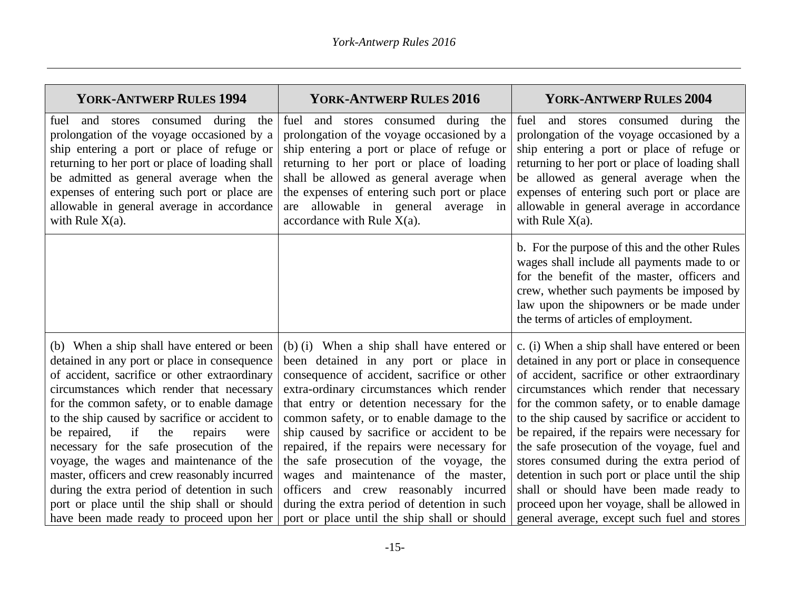| <b>YORK-ANTWERP RULES 1994</b>                                                                                                                                                                                                                                                                                                                                                                                                                                                                                                                                                                                                 | <b>YORK-ANTWERP RULES 2016</b>                                                                                                                                                                                                                                                                                                                                                                                                                                                                                                                                                                    | <b>YORK-ANTWERP RULES 2004</b>                                                                                                                                                                                                                                                                                                                                                                                                                                                                                                                                                                                                           |
|--------------------------------------------------------------------------------------------------------------------------------------------------------------------------------------------------------------------------------------------------------------------------------------------------------------------------------------------------------------------------------------------------------------------------------------------------------------------------------------------------------------------------------------------------------------------------------------------------------------------------------|---------------------------------------------------------------------------------------------------------------------------------------------------------------------------------------------------------------------------------------------------------------------------------------------------------------------------------------------------------------------------------------------------------------------------------------------------------------------------------------------------------------------------------------------------------------------------------------------------|------------------------------------------------------------------------------------------------------------------------------------------------------------------------------------------------------------------------------------------------------------------------------------------------------------------------------------------------------------------------------------------------------------------------------------------------------------------------------------------------------------------------------------------------------------------------------------------------------------------------------------------|
| fuel and stores consumed during<br>the<br>prolongation of the voyage occasioned by a<br>ship entering a port or place of refuge or<br>returning to her port or place of loading shall<br>be admitted as general average when the<br>expenses of entering such port or place are<br>allowable in general average in accordance<br>with Rule $X(a)$ .                                                                                                                                                                                                                                                                            | and stores consumed during<br>fuel<br>the<br>prolongation of the voyage occasioned by a<br>ship entering a port or place of refuge or<br>returning to her port or place of loading<br>shall be allowed as general average when<br>the expenses of entering such port or place<br>allowable in general average in<br>are<br>accordance with Rule $X(a)$ .                                                                                                                                                                                                                                          | fuel and stores consumed during the<br>prolongation of the voyage occasioned by a<br>ship entering a port or place of refuge or<br>returning to her port or place of loading shall<br>be allowed as general average when the<br>expenses of entering such port or place are<br>allowable in general average in accordance<br>with Rule $X(a)$ .                                                                                                                                                                                                                                                                                          |
|                                                                                                                                                                                                                                                                                                                                                                                                                                                                                                                                                                                                                                |                                                                                                                                                                                                                                                                                                                                                                                                                                                                                                                                                                                                   | b. For the purpose of this and the other Rules<br>wages shall include all payments made to or<br>for the benefit of the master, officers and<br>crew, whether such payments be imposed by<br>law upon the shipowners or be made under<br>the terms of articles of employment.                                                                                                                                                                                                                                                                                                                                                            |
| (b) When a ship shall have entered or been<br>detained in any port or place in consequence<br>of accident, sacrifice or other extraordinary<br>circumstances which render that necessary<br>for the common safety, or to enable damage<br>to the ship caused by sacrifice or accident to<br>if<br>be repaired,<br>the<br>repairs<br>were<br>necessary for the safe prosecution of the<br>voyage, the wages and maintenance of the<br>master, officers and crew reasonably incurred<br>during the extra period of detention in such<br>port or place until the ship shall or should<br>have been made ready to proceed upon her | (b) (i) When a ship shall have entered or<br>been detained in any port or place in<br>consequence of accident, sacrifice or other<br>extra-ordinary circumstances which render<br>that entry or detention necessary for the<br>common safety, or to enable damage to the<br>ship caused by sacrifice or accident to be<br>repaired, if the repairs were necessary for<br>the safe prosecution of the voyage, the<br>wages and maintenance of the master,<br>officers and crew reasonably incurred<br>during the extra period of detention in such<br>port or place until the ship shall or should | c. (i) When a ship shall have entered or been<br>detained in any port or place in consequence<br>of accident, sacrifice or other extraordinary<br>circumstances which render that necessary<br>for the common safety, or to enable damage<br>to the ship caused by sacrifice or accident to<br>be repaired, if the repairs were necessary for<br>the safe prosecution of the voyage, fuel and<br>stores consumed during the extra period of<br>detention in such port or place until the ship<br>shall or should have been made ready to<br>proceed upon her voyage, shall be allowed in<br>general average, except such fuel and stores |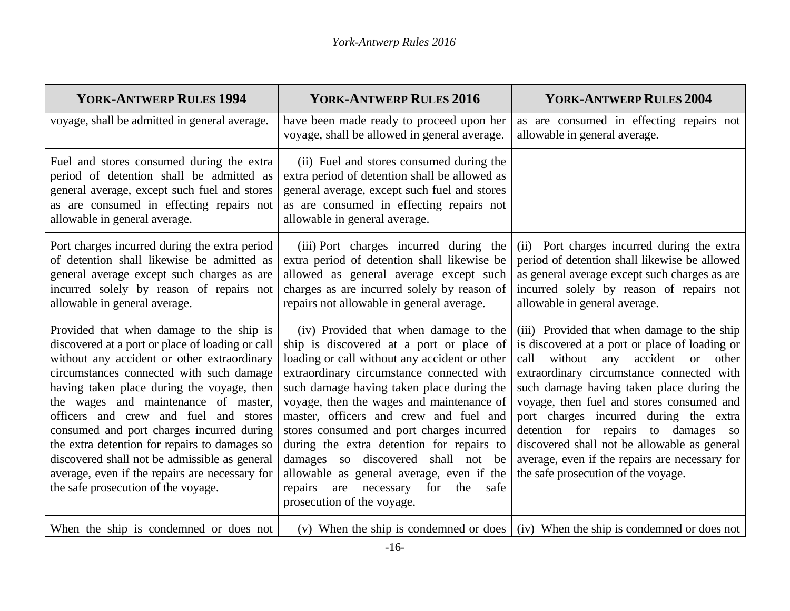| <b>YORK-ANTWERP RULES 1994</b>                                                                                                                                                                                                                                                                                                                                                                                                                                                                                                                                 | <b>YORK-ANTWERP RULES 2016</b>                                                                                                                                                                                                                                                                                                                                                                                                                                                                                                                                                | <b>YORK-ANTWERP RULES 2004</b>                                                                                                                                                                                                                                                                                                                                                                                                                                                                             |
|----------------------------------------------------------------------------------------------------------------------------------------------------------------------------------------------------------------------------------------------------------------------------------------------------------------------------------------------------------------------------------------------------------------------------------------------------------------------------------------------------------------------------------------------------------------|-------------------------------------------------------------------------------------------------------------------------------------------------------------------------------------------------------------------------------------------------------------------------------------------------------------------------------------------------------------------------------------------------------------------------------------------------------------------------------------------------------------------------------------------------------------------------------|------------------------------------------------------------------------------------------------------------------------------------------------------------------------------------------------------------------------------------------------------------------------------------------------------------------------------------------------------------------------------------------------------------------------------------------------------------------------------------------------------------|
| voyage, shall be admitted in general average.                                                                                                                                                                                                                                                                                                                                                                                                                                                                                                                  | have been made ready to proceed upon her<br>voyage, shall be allowed in general average.                                                                                                                                                                                                                                                                                                                                                                                                                                                                                      | as are consumed in effecting repairs not<br>allowable in general average.                                                                                                                                                                                                                                                                                                                                                                                                                                  |
| Fuel and stores consumed during the extra<br>period of detention shall be admitted as<br>general average, except such fuel and stores<br>as are consumed in effecting repairs not<br>allowable in general average.                                                                                                                                                                                                                                                                                                                                             | (ii) Fuel and stores consumed during the<br>extra period of detention shall be allowed as<br>general average, except such fuel and stores<br>as are consumed in effecting repairs not<br>allowable in general average.                                                                                                                                                                                                                                                                                                                                                        |                                                                                                                                                                                                                                                                                                                                                                                                                                                                                                            |
| Port charges incurred during the extra period<br>of detention shall likewise be admitted as<br>general average except such charges as are<br>incurred solely by reason of repairs not<br>allowable in general average.                                                                                                                                                                                                                                                                                                                                         | (iii) Port charges incurred during the<br>extra period of detention shall likewise be<br>allowed as general average except such<br>charges as are incurred solely by reason of<br>repairs not allowable in general average.                                                                                                                                                                                                                                                                                                                                                   | (ii) Port charges incurred during the extra<br>period of detention shall likewise be allowed<br>as general average except such charges as are<br>incurred solely by reason of repairs not<br>allowable in general average.                                                                                                                                                                                                                                                                                 |
| Provided that when damage to the ship is<br>discovered at a port or place of loading or call<br>without any accident or other extraordinary<br>circumstances connected with such damage<br>having taken place during the voyage, then<br>the wages and maintenance of master,<br>officers and crew and fuel and stores<br>consumed and port charges incurred during<br>the extra detention for repairs to damages so<br>discovered shall not be admissible as general<br>average, even if the repairs are necessary for<br>the safe prosecution of the voyage. | (iv) Provided that when damage to the<br>ship is discovered at a port or place of<br>loading or call without any accident or other<br>extraordinary circumstance connected with<br>such damage having taken place during the<br>voyage, then the wages and maintenance of<br>master, officers and crew and fuel and<br>stores consumed and port charges incurred<br>during the extra detention for repairs to<br>damages so discovered shall not be<br>allowable as general average, even if the<br>repairs<br>are necessary for<br>the<br>safe<br>prosecution of the voyage. | (iii) Provided that when damage to the ship<br>is discovered at a port or place of loading or<br>without any accident or<br>other<br>call<br>extraordinary circumstance connected with<br>such damage having taken place during the<br>voyage, then fuel and stores consumed and<br>port charges incurred during the extra<br>detention for repairs to damages so<br>discovered shall not be allowable as general<br>average, even if the repairs are necessary for<br>the safe prosecution of the voyage. |
| When the ship is condemned or does not                                                                                                                                                                                                                                                                                                                                                                                                                                                                                                                         |                                                                                                                                                                                                                                                                                                                                                                                                                                                                                                                                                                               | (v) When the ship is condemned or does $\vert$ (iv) When the ship is condemned or does not                                                                                                                                                                                                                                                                                                                                                                                                                 |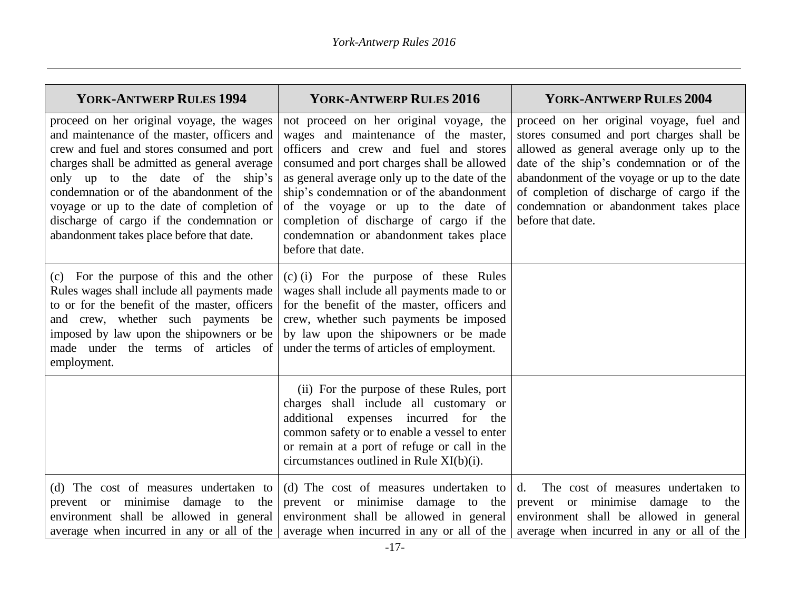| <b>YORK-ANTWERP RULES 1994</b>                                                                                                                                                                                                                                                                                                                                                                                  | <b>YORK-ANTWERP RULES 2016</b>                                                                                                                                                                                                                                                                                                                                                                                        | <b>YORK-ANTWERP RULES 2004</b>                                                                                                                                                                                                                                                                                                               |
|-----------------------------------------------------------------------------------------------------------------------------------------------------------------------------------------------------------------------------------------------------------------------------------------------------------------------------------------------------------------------------------------------------------------|-----------------------------------------------------------------------------------------------------------------------------------------------------------------------------------------------------------------------------------------------------------------------------------------------------------------------------------------------------------------------------------------------------------------------|----------------------------------------------------------------------------------------------------------------------------------------------------------------------------------------------------------------------------------------------------------------------------------------------------------------------------------------------|
| proceed on her original voyage, the wages<br>and maintenance of the master, officers and<br>crew and fuel and stores consumed and port<br>charges shall be admitted as general average<br>only up to the date of the ship's<br>condemnation or of the abandonment of the<br>voyage or up to the date of completion of<br>discharge of cargo if the condemnation or<br>abandonment takes place before that date. | not proceed on her original voyage, the<br>wages and maintenance of the master,<br>officers and crew and fuel and stores<br>consumed and port charges shall be allowed<br>as general average only up to the date of the<br>ship's condemnation or of the abandonment<br>of the voyage or up to the date of<br>completion of discharge of cargo if the<br>condemnation or abandonment takes place<br>before that date. | proceed on her original voyage, fuel and<br>stores consumed and port charges shall be<br>allowed as general average only up to the<br>date of the ship's condemnation or of the<br>abandonment of the voyage or up to the date<br>of completion of discharge of cargo if the<br>condemnation or abandonment takes place<br>before that date. |
| (c) For the purpose of this and the other<br>Rules wages shall include all payments made<br>to or for the benefit of the master, officers<br>and crew, whether such payments be<br>imposed by law upon the shipowners or be<br>made under the terms of articles of<br>employment.                                                                                                                               | (c) (i) For the purpose of these Rules<br>wages shall include all payments made to or<br>for the benefit of the master, officers and<br>crew, whether such payments be imposed<br>by law upon the shipowners or be made<br>under the terms of articles of employment.                                                                                                                                                 |                                                                                                                                                                                                                                                                                                                                              |
|                                                                                                                                                                                                                                                                                                                                                                                                                 | (ii) For the purpose of these Rules, port<br>charges shall include all customary or<br>additional expenses incurred for the<br>common safety or to enable a vessel to enter<br>or remain at a port of refuge or call in the<br>circumstances outlined in Rule $XI(b)(i)$ .                                                                                                                                            |                                                                                                                                                                                                                                                                                                                                              |
| (d) The cost of measures undertaken to<br>minimise damage to the<br>prevent or<br>environment shall be allowed in general<br>average when incurred in any or all of the                                                                                                                                                                                                                                         | (d) The cost of measures undertaken to<br>prevent or minimise damage to<br>the<br>environment shall be allowed in general<br>average when incurred in any or all of the                                                                                                                                                                                                                                               | The cost of measures undertaken to<br>d.<br>prevent or minimise damage<br>to<br>the<br>environment shall be allowed in general<br>average when incurred in any or all of the                                                                                                                                                                 |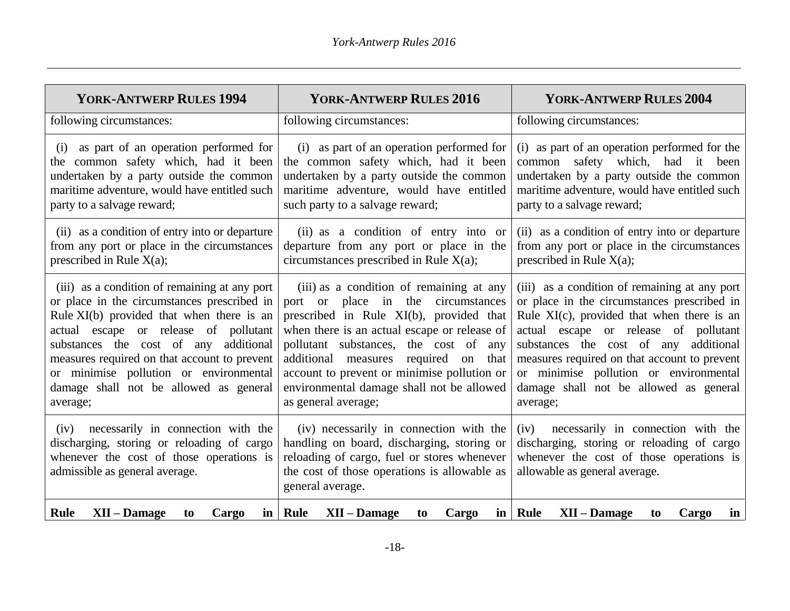| <b>YORK-ANTWERP RULES 1994</b>                                                                                                                                                                                                                                                                                                                                              | <b>YORK-ANTWERP RULES 2016</b>                                                                                                                                                                                                                                                                                                                                                         | <b>YORK-ANTWERP RULES 2004</b>                                                                                                                                                                                                                                                                                                                                               |
|-----------------------------------------------------------------------------------------------------------------------------------------------------------------------------------------------------------------------------------------------------------------------------------------------------------------------------------------------------------------------------|----------------------------------------------------------------------------------------------------------------------------------------------------------------------------------------------------------------------------------------------------------------------------------------------------------------------------------------------------------------------------------------|------------------------------------------------------------------------------------------------------------------------------------------------------------------------------------------------------------------------------------------------------------------------------------------------------------------------------------------------------------------------------|
| following circumstances:                                                                                                                                                                                                                                                                                                                                                    | following circumstances:                                                                                                                                                                                                                                                                                                                                                               | following circumstances:                                                                                                                                                                                                                                                                                                                                                     |
| as part of an operation performed for<br>(i)<br>the common safety which, had it been<br>undertaken by a party outside the common<br>maritime adventure, would have entitled such<br>party to a salvage reward;                                                                                                                                                              | (i) as part of an operation performed for<br>the common safety which, had it been<br>undertaken by a party outside the common<br>maritime adventure, would have entitled<br>such party to a salvage reward;                                                                                                                                                                            | (i) as part of an operation performed for the<br>safety which, had it been<br>common<br>undertaken by a party outside the common<br>maritime adventure, would have entitled such<br>party to a salvage reward;                                                                                                                                                               |
| (ii) as a condition of entry into or departure<br>from any port or place in the circumstances<br>prescribed in Rule $X(a)$ ;                                                                                                                                                                                                                                                | (ii) as a condition of entry into or<br>departure from any port or place in the<br>circumstances prescribed in Rule $X(a)$ ;                                                                                                                                                                                                                                                           | (ii) as a condition of entry into or departure<br>from any port or place in the circumstances<br>prescribed in Rule $X(a)$ ;                                                                                                                                                                                                                                                 |
| (iii) as a condition of remaining at any port<br>or place in the circumstances prescribed in<br>Rule XI(b) provided that when there is an<br>actual escape or release of pollutant<br>substances the cost of any additional<br>measures required on that account to prevent<br>or minimise pollution or environmental<br>damage shall not be allowed as general<br>average; | (iii) as a condition of remaining at any<br>place in the circumstances<br>port or<br>prescribed in Rule XI(b), provided that<br>when there is an actual escape or release of<br>pollutant substances, the cost of any<br>additional measures required<br>on<br>that<br>account to prevent or minimise pollution or<br>environmental damage shall not be allowed<br>as general average; | (iii) as a condition of remaining at any port<br>or place in the circumstances prescribed in<br>Rule XI(c), provided that when there is an<br>actual escape or release of pollutant<br>substances the cost of any additional<br>measures required on that account to prevent<br>or minimise pollution or environmental<br>damage shall not be allowed as general<br>average; |
| necessarily in connection with the<br>(iv)<br>discharging, storing or reloading of cargo<br>whenever the cost of those operations is<br>admissible as general average.                                                                                                                                                                                                      | (iv) necessarily in connection with the<br>handling on board, discharging, storing or<br>reloading of cargo, fuel or stores whenever<br>the cost of those operations is allowable as<br>general average.                                                                                                                                                                               | necessarily in connection with the<br>(iv)<br>discharging, storing or reloading of cargo<br>whenever the cost of those operations is<br>allowable as general average.                                                                                                                                                                                                        |
| <b>Rule</b><br>$XII$ – Damage<br>Cargo<br>to                                                                                                                                                                                                                                                                                                                                | $\mathbf{in} \mid \mathbf{Rule}$<br>$XII$ – Damage<br>Cargo<br>to                                                                                                                                                                                                                                                                                                                      | $\mathbf{in} \mid \mathbf{Rule}$<br>$XII$ – Damage<br>Cargo<br>to<br>in                                                                                                                                                                                                                                                                                                      |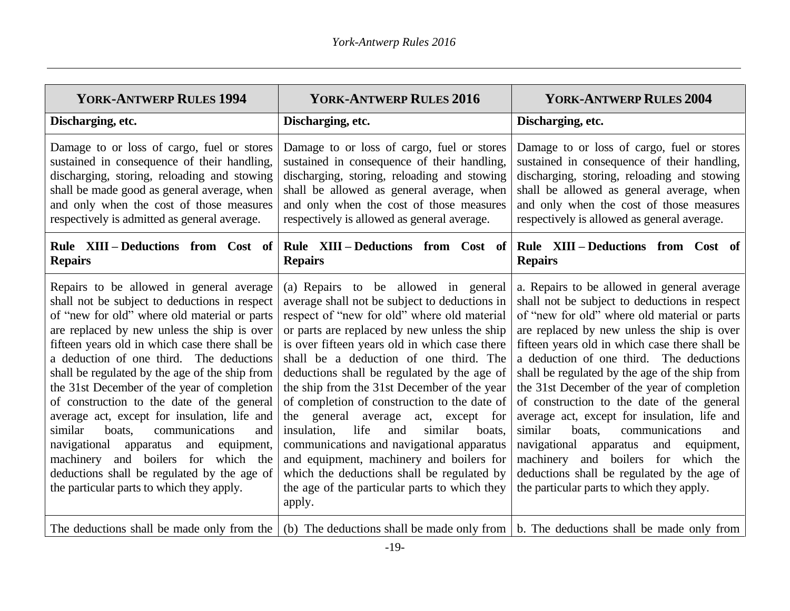| <b>YORK-ANTWERP RULES 1994</b>                                                                                                                                                                                                                                                                                                                                                                                                                                                                                                                                                                                                                                                                                                    | <b>YORK-ANTWERP RULES 2016</b>                                                                                                                                                                                                                                                                                                                                                                                                                                                                                                                                                                                                                                                                                               | <b>YORK-ANTWERP RULES 2004</b>                                                                                                                                                                                                                                                                                                                                                                                                                                                                                                                                                                                                                                                                                                          |
|-----------------------------------------------------------------------------------------------------------------------------------------------------------------------------------------------------------------------------------------------------------------------------------------------------------------------------------------------------------------------------------------------------------------------------------------------------------------------------------------------------------------------------------------------------------------------------------------------------------------------------------------------------------------------------------------------------------------------------------|------------------------------------------------------------------------------------------------------------------------------------------------------------------------------------------------------------------------------------------------------------------------------------------------------------------------------------------------------------------------------------------------------------------------------------------------------------------------------------------------------------------------------------------------------------------------------------------------------------------------------------------------------------------------------------------------------------------------------|-----------------------------------------------------------------------------------------------------------------------------------------------------------------------------------------------------------------------------------------------------------------------------------------------------------------------------------------------------------------------------------------------------------------------------------------------------------------------------------------------------------------------------------------------------------------------------------------------------------------------------------------------------------------------------------------------------------------------------------------|
| Discharging, etc.                                                                                                                                                                                                                                                                                                                                                                                                                                                                                                                                                                                                                                                                                                                 | Discharging, etc.                                                                                                                                                                                                                                                                                                                                                                                                                                                                                                                                                                                                                                                                                                            | Discharging, etc.                                                                                                                                                                                                                                                                                                                                                                                                                                                                                                                                                                                                                                                                                                                       |
| Damage to or loss of cargo, fuel or stores<br>sustained in consequence of their handling,<br>discharging, storing, reloading and stowing<br>shall be made good as general average, when<br>and only when the cost of those measures<br>respectively is admitted as general average.                                                                                                                                                                                                                                                                                                                                                                                                                                               | Damage to or loss of cargo, fuel or stores<br>sustained in consequence of their handling,<br>discharging, storing, reloading and stowing<br>shall be allowed as general average, when<br>and only when the cost of those measures<br>respectively is allowed as general average.                                                                                                                                                                                                                                                                                                                                                                                                                                             | Damage to or loss of cargo, fuel or stores<br>sustained in consequence of their handling,<br>discharging, storing, reloading and stowing<br>shall be allowed as general average, when<br>and only when the cost of those measures<br>respectively is allowed as general average.                                                                                                                                                                                                                                                                                                                                                                                                                                                        |
| Rule XIII – Deductions from Cost of<br><b>Repairs</b>                                                                                                                                                                                                                                                                                                                                                                                                                                                                                                                                                                                                                                                                             | Rule XIII-Deductions from Cost of<br><b>Repairs</b>                                                                                                                                                                                                                                                                                                                                                                                                                                                                                                                                                                                                                                                                          | Rule XIII-Deductions from Cost of<br><b>Repairs</b>                                                                                                                                                                                                                                                                                                                                                                                                                                                                                                                                                                                                                                                                                     |
| Repairs to be allowed in general average<br>shall not be subject to deductions in respect<br>of "new for old" where old material or parts<br>are replaced by new unless the ship is over<br>fifteen years old in which case there shall be<br>a deduction of one third. The deductions<br>shall be regulated by the age of the ship from<br>the 31st December of the year of completion<br>of construction to the date of the general<br>average act, except for insulation, life and<br>similar<br>boats.<br>communications<br>and<br>navigational<br>and<br>equipment,<br>apparatus<br>and boilers for<br>which<br>machinery<br>the<br>deductions shall be regulated by the age of<br>the particular parts to which they apply. | (a) Repairs to be allowed in general<br>average shall not be subject to deductions in<br>respect of "new for old" where old material<br>or parts are replaced by new unless the ship<br>is over fifteen years old in which case there<br>shall be a deduction of one third. The<br>deductions shall be regulated by the age of<br>the ship from the 31st December of the year<br>of completion of construction to the date of<br>the general average<br>act, except for<br>life<br>insulation.<br>and<br>similar<br>boats,<br>communications and navigational apparatus<br>and equipment, machinery and boilers for<br>which the deductions shall be regulated by<br>the age of the particular parts to which they<br>apply. | a. Repairs to be allowed in general average<br>shall not be subject to deductions in respect<br>of "new for old" where old material or parts<br>are replaced by new unless the ship is over<br>fifteen years old in which case there shall be<br>a deduction of one third. The deductions<br>shall be regulated by the age of the ship from<br>the 31st December of the year of completion<br>of construction to the date of the general<br>average act, except for insulation, life and<br>similar<br>boats,<br>communications<br>and<br>navigational<br>and<br>apparatus<br>equipment,<br>and<br>boilers for<br>machinery<br>which<br>the<br>deductions shall be regulated by the age of<br>the particular parts to which they apply. |
|                                                                                                                                                                                                                                                                                                                                                                                                                                                                                                                                                                                                                                                                                                                                   | The deductions shall be made only from the $(6)$ The deductions shall be made only from $ b$ . The deductions shall be made only from                                                                                                                                                                                                                                                                                                                                                                                                                                                                                                                                                                                        |                                                                                                                                                                                                                                                                                                                                                                                                                                                                                                                                                                                                                                                                                                                                         |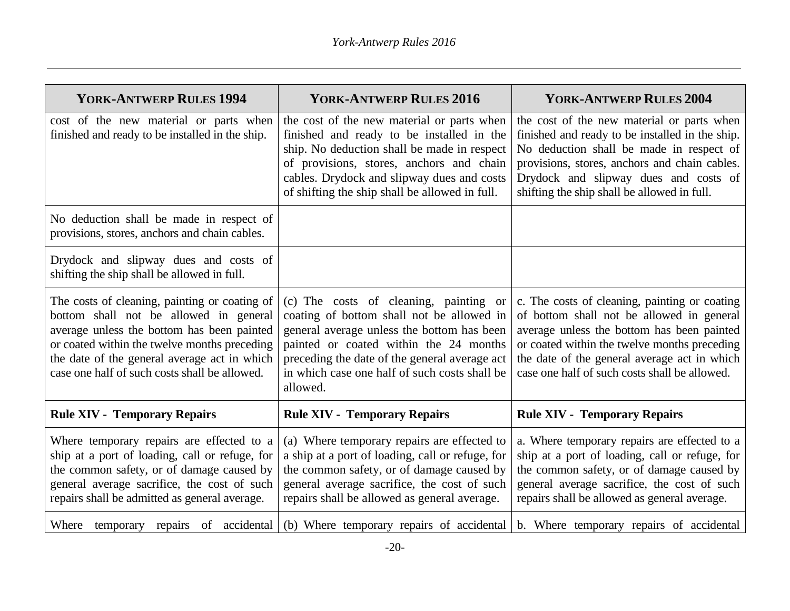| <b>YORK-ANTWERP RULES 1994</b>                                                                                                                                                                                                                                                         | <b>YORK-ANTWERP RULES 2016</b>                                                                                                                                                                                                                                                            | <b>YORK-ANTWERP RULES 2004</b>                                                                                                                                                                                                                                                            |
|----------------------------------------------------------------------------------------------------------------------------------------------------------------------------------------------------------------------------------------------------------------------------------------|-------------------------------------------------------------------------------------------------------------------------------------------------------------------------------------------------------------------------------------------------------------------------------------------|-------------------------------------------------------------------------------------------------------------------------------------------------------------------------------------------------------------------------------------------------------------------------------------------|
| cost of the new material or parts when<br>finished and ready to be installed in the ship.                                                                                                                                                                                              | the cost of the new material or parts when<br>finished and ready to be installed in the<br>ship. No deduction shall be made in respect<br>of provisions, stores, anchors and chain<br>cables. Drydock and slipway dues and costs<br>of shifting the ship shall be allowed in full.        | the cost of the new material or parts when<br>finished and ready to be installed in the ship.<br>No deduction shall be made in respect of<br>provisions, stores, anchors and chain cables.<br>Drydock and slipway dues and costs of<br>shifting the ship shall be allowed in full.        |
| No deduction shall be made in respect of<br>provisions, stores, anchors and chain cables.                                                                                                                                                                                              |                                                                                                                                                                                                                                                                                           |                                                                                                                                                                                                                                                                                           |
| Drydock and slipway dues and costs of<br>shifting the ship shall be allowed in full.                                                                                                                                                                                                   |                                                                                                                                                                                                                                                                                           |                                                                                                                                                                                                                                                                                           |
| The costs of cleaning, painting or coating of<br>bottom shall not be allowed in general<br>average unless the bottom has been painted<br>or coated within the twelve months preceding<br>the date of the general average act in which<br>case one half of such costs shall be allowed. | (c) The costs of cleaning, painting or<br>coating of bottom shall not be allowed in<br>general average unless the bottom has been<br>painted or coated within the 24 months<br>preceding the date of the general average act<br>in which case one half of such costs shall be<br>allowed. | c. The costs of cleaning, painting or coating<br>of bottom shall not be allowed in general<br>average unless the bottom has been painted<br>or coated within the twelve months preceding<br>the date of the general average act in which<br>case one half of such costs shall be allowed. |
| <b>Rule XIV - Temporary Repairs</b>                                                                                                                                                                                                                                                    | <b>Rule XIV - Temporary Repairs</b>                                                                                                                                                                                                                                                       | <b>Rule XIV - Temporary Repairs</b>                                                                                                                                                                                                                                                       |
| Where temporary repairs are effected to a<br>ship at a port of loading, call or refuge, for<br>the common safety, or of damage caused by<br>general average sacrifice, the cost of such<br>repairs shall be admitted as general average.                                               | (a) Where temporary repairs are effected to<br>a ship at a port of loading, call or refuge, for<br>the common safety, or of damage caused by<br>general average sacrifice, the cost of such<br>repairs shall be allowed as general average.                                               | a. Where temporary repairs are effected to a<br>ship at a port of loading, call or refuge, for<br>the common safety, or of damage caused by<br>general average sacrifice, the cost of such<br>repairs shall be allowed as general average.                                                |
| Where<br>temporary repairs of accidental                                                                                                                                                                                                                                               | (b) Where temporary repairs of accidental                                                                                                                                                                                                                                                 | b. Where temporary repairs of accidental                                                                                                                                                                                                                                                  |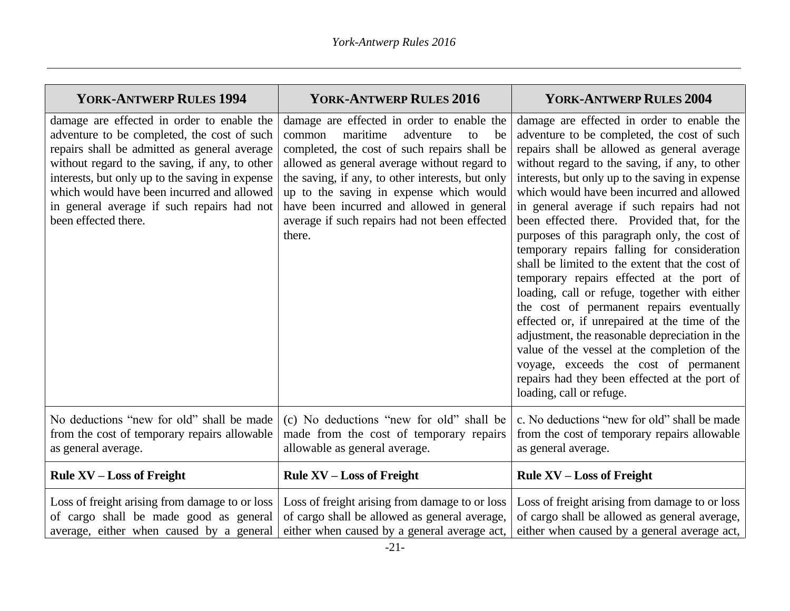| <b>YORK-ANTWERP RULES 1994</b>                                                                                                                                                                                                                                                                                                                                     | <b>YORK-ANTWERP RULES 2016</b>                                                                                                                                                                                                                                                                                                                                                                   | <b>YORK-ANTWERP RULES 2004</b>                                                                                                                                                                                                                                                                                                                                                                                                                                                                                                                                                                                                                                                                                                                                                                                                                                                                                                                                |
|--------------------------------------------------------------------------------------------------------------------------------------------------------------------------------------------------------------------------------------------------------------------------------------------------------------------------------------------------------------------|--------------------------------------------------------------------------------------------------------------------------------------------------------------------------------------------------------------------------------------------------------------------------------------------------------------------------------------------------------------------------------------------------|---------------------------------------------------------------------------------------------------------------------------------------------------------------------------------------------------------------------------------------------------------------------------------------------------------------------------------------------------------------------------------------------------------------------------------------------------------------------------------------------------------------------------------------------------------------------------------------------------------------------------------------------------------------------------------------------------------------------------------------------------------------------------------------------------------------------------------------------------------------------------------------------------------------------------------------------------------------|
| damage are effected in order to enable the<br>adventure to be completed, the cost of such<br>repairs shall be admitted as general average<br>without regard to the saving, if any, to other<br>interests, but only up to the saving in expense<br>which would have been incurred and allowed<br>in general average if such repairs had not<br>been effected there. | damage are effected in order to enable the<br>maritime<br>adventure<br>common<br>to<br>be<br>completed, the cost of such repairs shall be<br>allowed as general average without regard to<br>the saving, if any, to other interests, but only<br>up to the saving in expense which would<br>have been incurred and allowed in general<br>average if such repairs had not been effected<br>there. | damage are effected in order to enable the<br>adventure to be completed, the cost of such<br>repairs shall be allowed as general average<br>without regard to the saving, if any, to other<br>interests, but only up to the saving in expense<br>which would have been incurred and allowed<br>in general average if such repairs had not<br>been effected there. Provided that, for the<br>purposes of this paragraph only, the cost of<br>temporary repairs falling for consideration<br>shall be limited to the extent that the cost of<br>temporary repairs effected at the port of<br>loading, call or refuge, together with either<br>the cost of permanent repairs eventually<br>effected or, if unrepaired at the time of the<br>adjustment, the reasonable depreciation in the<br>value of the vessel at the completion of the<br>voyage, exceeds the cost of permanent<br>repairs had they been effected at the port of<br>loading, call or refuge. |
| No deductions "new for old" shall be made<br>from the cost of temporary repairs allowable<br>as general average.                                                                                                                                                                                                                                                   | (c) No deductions "new for old" shall be<br>made from the cost of temporary repairs<br>allowable as general average.                                                                                                                                                                                                                                                                             | c. No deductions "new for old" shall be made<br>from the cost of temporary repairs allowable<br>as general average.                                                                                                                                                                                                                                                                                                                                                                                                                                                                                                                                                                                                                                                                                                                                                                                                                                           |
| <b>Rule XV – Loss of Freight</b>                                                                                                                                                                                                                                                                                                                                   | <b>Rule XV – Loss of Freight</b>                                                                                                                                                                                                                                                                                                                                                                 | <b>Rule XV – Loss of Freight</b>                                                                                                                                                                                                                                                                                                                                                                                                                                                                                                                                                                                                                                                                                                                                                                                                                                                                                                                              |
| Loss of freight arising from damage to or loss<br>of cargo shall be made good as general<br>average, either when caused by a general                                                                                                                                                                                                                               | Loss of freight arising from damage to or loss<br>of cargo shall be allowed as general average,<br>either when caused by a general average act,                                                                                                                                                                                                                                                  | Loss of freight arising from damage to or loss<br>of cargo shall be allowed as general average,<br>either when caused by a general average act,                                                                                                                                                                                                                                                                                                                                                                                                                                                                                                                                                                                                                                                                                                                                                                                                               |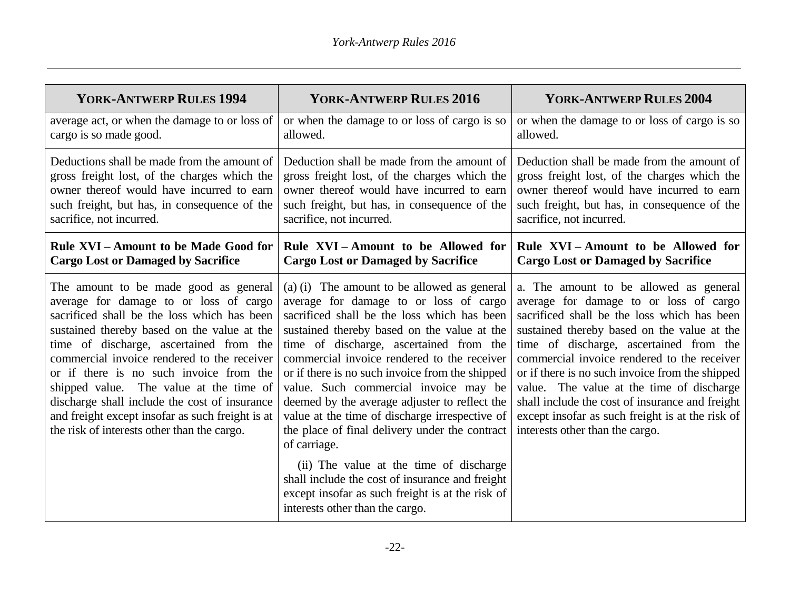| <b>YORK-ANTWERP RULES 1994</b>                                                                                                                                                                                                                                                                                                                                                                                                                                                                                    | <b>YORK-ANTWERP RULES 2016</b>                                                                                                                                                                                                                                                                                                                                                                                                                                                                                                                                                                                                                                                                                                      | <b>YORK-ANTWERP RULES 2004</b>                                                                                                                                                                                                                                                                                                                                                                                                                                                                                     |
|-------------------------------------------------------------------------------------------------------------------------------------------------------------------------------------------------------------------------------------------------------------------------------------------------------------------------------------------------------------------------------------------------------------------------------------------------------------------------------------------------------------------|-------------------------------------------------------------------------------------------------------------------------------------------------------------------------------------------------------------------------------------------------------------------------------------------------------------------------------------------------------------------------------------------------------------------------------------------------------------------------------------------------------------------------------------------------------------------------------------------------------------------------------------------------------------------------------------------------------------------------------------|--------------------------------------------------------------------------------------------------------------------------------------------------------------------------------------------------------------------------------------------------------------------------------------------------------------------------------------------------------------------------------------------------------------------------------------------------------------------------------------------------------------------|
| average act, or when the damage to or loss of                                                                                                                                                                                                                                                                                                                                                                                                                                                                     | or when the damage to or loss of cargo is so                                                                                                                                                                                                                                                                                                                                                                                                                                                                                                                                                                                                                                                                                        | or when the damage to or loss of cargo is so                                                                                                                                                                                                                                                                                                                                                                                                                                                                       |
| cargo is so made good.                                                                                                                                                                                                                                                                                                                                                                                                                                                                                            | allowed.                                                                                                                                                                                                                                                                                                                                                                                                                                                                                                                                                                                                                                                                                                                            | allowed.                                                                                                                                                                                                                                                                                                                                                                                                                                                                                                           |
| Deductions shall be made from the amount of                                                                                                                                                                                                                                                                                                                                                                                                                                                                       | Deduction shall be made from the amount of                                                                                                                                                                                                                                                                                                                                                                                                                                                                                                                                                                                                                                                                                          | Deduction shall be made from the amount of                                                                                                                                                                                                                                                                                                                                                                                                                                                                         |
| gross freight lost, of the charges which the                                                                                                                                                                                                                                                                                                                                                                                                                                                                      | gross freight lost, of the charges which the                                                                                                                                                                                                                                                                                                                                                                                                                                                                                                                                                                                                                                                                                        | gross freight lost, of the charges which the                                                                                                                                                                                                                                                                                                                                                                                                                                                                       |
| owner thereof would have incurred to earn                                                                                                                                                                                                                                                                                                                                                                                                                                                                         | owner thereof would have incurred to earn                                                                                                                                                                                                                                                                                                                                                                                                                                                                                                                                                                                                                                                                                           | owner thereof would have incurred to earn                                                                                                                                                                                                                                                                                                                                                                                                                                                                          |
| such freight, but has, in consequence of the                                                                                                                                                                                                                                                                                                                                                                                                                                                                      | such freight, but has, in consequence of the                                                                                                                                                                                                                                                                                                                                                                                                                                                                                                                                                                                                                                                                                        | such freight, but has, in consequence of the                                                                                                                                                                                                                                                                                                                                                                                                                                                                       |
| sacrifice, not incurred.                                                                                                                                                                                                                                                                                                                                                                                                                                                                                          | sacrifice, not incurred.                                                                                                                                                                                                                                                                                                                                                                                                                                                                                                                                                                                                                                                                                                            | sacrifice, not incurred.                                                                                                                                                                                                                                                                                                                                                                                                                                                                                           |
| Rule XVI – Amount to be Made Good for                                                                                                                                                                                                                                                                                                                                                                                                                                                                             | Rule XVI – Amount to be Allowed for                                                                                                                                                                                                                                                                                                                                                                                                                                                                                                                                                                                                                                                                                                 | Rule XVI - Amount to be Allowed for                                                                                                                                                                                                                                                                                                                                                                                                                                                                                |
| <b>Cargo Lost or Damaged by Sacrifice</b>                                                                                                                                                                                                                                                                                                                                                                                                                                                                         | <b>Cargo Lost or Damaged by Sacrifice</b>                                                                                                                                                                                                                                                                                                                                                                                                                                                                                                                                                                                                                                                                                           | <b>Cargo Lost or Damaged by Sacrifice</b>                                                                                                                                                                                                                                                                                                                                                                                                                                                                          |
| The amount to be made good as general<br>average for damage to or loss of cargo<br>sacrificed shall be the loss which has been<br>sustained thereby based on the value at the<br>time of discharge, ascertained from the<br>commercial invoice rendered to the receiver<br>or if there is no such invoice from the<br>shipped value. The value at the time of<br>discharge shall include the cost of insurance<br>and freight except insofar as such freight is at<br>the risk of interests other than the cargo. | (a) (i) The amount to be allowed as general<br>average for damage to or loss of cargo<br>sacrificed shall be the loss which has been<br>sustained thereby based on the value at the<br>time of discharge, ascertained from the<br>commercial invoice rendered to the receiver<br>or if there is no such invoice from the shipped<br>value. Such commercial invoice may be<br>deemed by the average adjuster to reflect the<br>value at the time of discharge irrespective of<br>the place of final delivery under the contract<br>of carriage.<br>(ii) The value at the time of discharge<br>shall include the cost of insurance and freight<br>except insofar as such freight is at the risk of<br>interests other than the cargo. | a. The amount to be allowed as general<br>average for damage to or loss of cargo<br>sacrificed shall be the loss which has been<br>sustained thereby based on the value at the<br>time of discharge, ascertained from the<br>commercial invoice rendered to the receiver<br>or if there is no such invoice from the shipped<br>value. The value at the time of discharge<br>shall include the cost of insurance and freight<br>except insofar as such freight is at the risk of<br>interests other than the cargo. |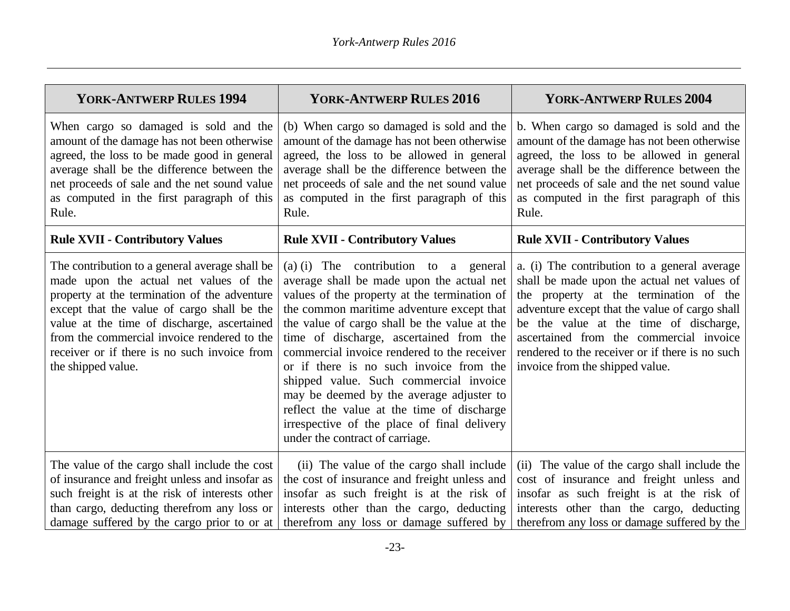| <b>YORK-ANTWERP RULES 1994</b>                                                                                                                                                                                                                                                                                                                              | <b>YORK-ANTWERP RULES 2016</b>                                                                                                                                                                                                                                                                                                                                                                                                                                                                                                                                                             | <b>YORK-ANTWERP RULES 2004</b>                                                                                                                                                                                                                                                                                                                                     |
|-------------------------------------------------------------------------------------------------------------------------------------------------------------------------------------------------------------------------------------------------------------------------------------------------------------------------------------------------------------|--------------------------------------------------------------------------------------------------------------------------------------------------------------------------------------------------------------------------------------------------------------------------------------------------------------------------------------------------------------------------------------------------------------------------------------------------------------------------------------------------------------------------------------------------------------------------------------------|--------------------------------------------------------------------------------------------------------------------------------------------------------------------------------------------------------------------------------------------------------------------------------------------------------------------------------------------------------------------|
| When cargo so damaged is sold and the<br>amount of the damage has not been otherwise<br>agreed, the loss to be made good in general<br>average shall be the difference between the<br>net proceeds of sale and the net sound value<br>as computed in the first paragraph of this<br>Rule.                                                                   | (b) When cargo so damaged is sold and the<br>amount of the damage has not been otherwise<br>agreed, the loss to be allowed in general<br>average shall be the difference between the<br>net proceeds of sale and the net sound value<br>as computed in the first paragraph of this<br>Rule.                                                                                                                                                                                                                                                                                                | b. When cargo so damaged is sold and the<br>amount of the damage has not been otherwise<br>agreed, the loss to be allowed in general<br>average shall be the difference between the<br>net proceeds of sale and the net sound value<br>as computed in the first paragraph of this<br>Rule.                                                                         |
| <b>Rule XVII - Contributory Values</b>                                                                                                                                                                                                                                                                                                                      | <b>Rule XVII - Contributory Values</b>                                                                                                                                                                                                                                                                                                                                                                                                                                                                                                                                                     | <b>Rule XVII - Contributory Values</b>                                                                                                                                                                                                                                                                                                                             |
| The contribution to a general average shall be<br>made upon the actual net values of the<br>property at the termination of the adventure<br>except that the value of cargo shall be the<br>value at the time of discharge, ascertained<br>from the commercial invoice rendered to the<br>receiver or if there is no such invoice from<br>the shipped value. | (a) (i) The contribution to a general<br>average shall be made upon the actual net<br>values of the property at the termination of<br>the common maritime adventure except that<br>the value of cargo shall be the value at the<br>time of discharge, ascertained from the<br>commercial invoice rendered to the receiver<br>or if there is no such invoice from the<br>shipped value. Such commercial invoice<br>may be deemed by the average adjuster to<br>reflect the value at the time of discharge<br>irrespective of the place of final delivery<br>under the contract of carriage. | a. (i) The contribution to a general average<br>shall be made upon the actual net values of<br>the property at the termination of the<br>adventure except that the value of cargo shall<br>be the value at the time of discharge,<br>ascertained from the commercial invoice<br>rendered to the receiver or if there is no such<br>invoice from the shipped value. |
| The value of the cargo shall include the cost<br>of insurance and freight unless and insofar as<br>such freight is at the risk of interests other<br>than cargo, deducting therefrom any loss or<br>damage suffered by the cargo prior to or at                                                                                                             | (ii) The value of the cargo shall include<br>the cost of insurance and freight unless and<br>insofar as such freight is at the risk of<br>interests other than the cargo, deducting<br>therefrom any loss or damage suffered by                                                                                                                                                                                                                                                                                                                                                            | (ii) The value of the cargo shall include the<br>cost of insurance and freight unless and<br>insofar as such freight is at the risk of<br>interests other than the cargo, deducting<br>therefrom any loss or damage suffered by the                                                                                                                                |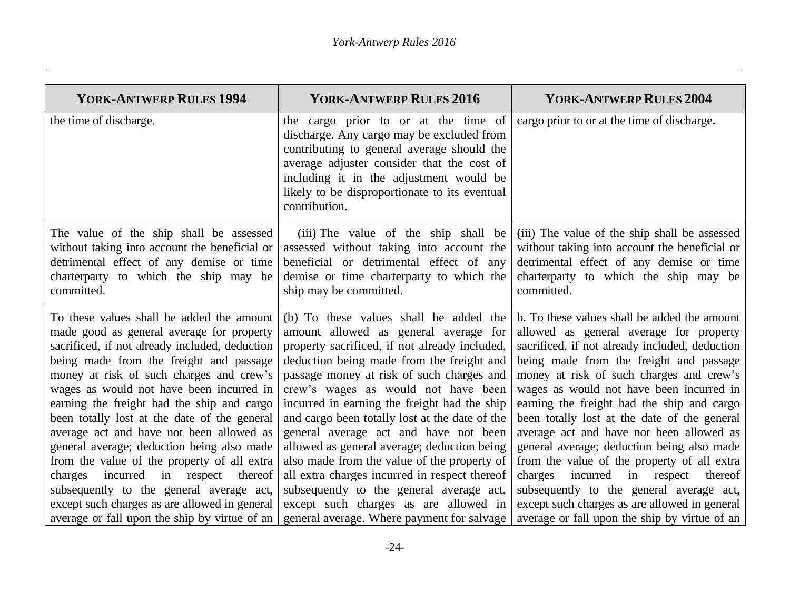| <b>YORK-ANTWERP RULES 1994</b>                                                                                                                                                                                                                                                                                                                                                                                                                                                                                                                                                                                                                                                                                      | <b>YORK-ANTWERP RULES 2016</b>                                                                                                                                                                                                                                                                                                                                                                                                                                                                                                                                                                                                                                                                 | <b>YORK-ANTWERP RULES 2004</b>                                                                                                                                                                                                                                                                                                                                                                                                                                                                                                                                                                                                                                                                                    |
|---------------------------------------------------------------------------------------------------------------------------------------------------------------------------------------------------------------------------------------------------------------------------------------------------------------------------------------------------------------------------------------------------------------------------------------------------------------------------------------------------------------------------------------------------------------------------------------------------------------------------------------------------------------------------------------------------------------------|------------------------------------------------------------------------------------------------------------------------------------------------------------------------------------------------------------------------------------------------------------------------------------------------------------------------------------------------------------------------------------------------------------------------------------------------------------------------------------------------------------------------------------------------------------------------------------------------------------------------------------------------------------------------------------------------|-------------------------------------------------------------------------------------------------------------------------------------------------------------------------------------------------------------------------------------------------------------------------------------------------------------------------------------------------------------------------------------------------------------------------------------------------------------------------------------------------------------------------------------------------------------------------------------------------------------------------------------------------------------------------------------------------------------------|
| the time of discharge.                                                                                                                                                                                                                                                                                                                                                                                                                                                                                                                                                                                                                                                                                              | the cargo prior to or at the time of<br>discharge. Any cargo may be excluded from<br>contributing to general average should the<br>average adjuster consider that the cost of<br>including it in the adjustment would be<br>likely to be disproportionate to its eventual<br>contribution.                                                                                                                                                                                                                                                                                                                                                                                                     | cargo prior to or at the time of discharge.                                                                                                                                                                                                                                                                                                                                                                                                                                                                                                                                                                                                                                                                       |
| The value of the ship shall be assessed<br>without taking into account the beneficial or<br>detrimental effect of any demise or time<br>charterparty to which the ship may be<br>committed.                                                                                                                                                                                                                                                                                                                                                                                                                                                                                                                         | (iii) The value of the ship shall be<br>assessed without taking into account the<br>beneficial or detrimental effect of any<br>demise or time charterparty to which the<br>ship may be committed.                                                                                                                                                                                                                                                                                                                                                                                                                                                                                              | (iii) The value of the ship shall be assessed<br>without taking into account the beneficial or<br>detrimental effect of any demise or time<br>charterparty to which the ship may be<br>committed.                                                                                                                                                                                                                                                                                                                                                                                                                                                                                                                 |
| To these values shall be added the amount<br>made good as general average for property<br>sacrificed, if not already included, deduction<br>being made from the freight and passage<br>money at risk of such charges and crew's<br>wages as would not have been incurred in<br>earning the freight had the ship and cargo<br>been totally lost at the date of the general<br>average act and have not been allowed as<br>general average; deduction being also made<br>from the value of the property of all extra<br>incurred<br>charges<br>in<br>respect<br>thereof<br>subsequently to the general average act,<br>except such charges as are allowed in general<br>average or fall upon the ship by virtue of an | (b) To these values shall be added the<br>amount allowed as general average for<br>property sacrificed, if not already included,<br>deduction being made from the freight and<br>passage money at risk of such charges and<br>crew's wages as would not have been<br>incurred in earning the freight had the ship<br>and cargo been totally lost at the date of the<br>general average act and have not been<br>allowed as general average; deduction being<br>also made from the value of the property of<br>all extra charges incurred in respect thereof<br>subsequently to the general average act,<br>except such charges as are allowed in<br>general average. Where payment for salvage | b. To these values shall be added the amount<br>allowed as general average for property<br>sacrificed, if not already included, deduction<br>being made from the freight and passage<br>money at risk of such charges and crew's<br>wages as would not have been incurred in<br>earning the freight had the ship and cargo<br>been totally lost at the date of the general<br>average act and have not been allowed as<br>general average; deduction being also made<br>from the value of the property of all extra<br>incurred in<br>charges<br>respect<br>thereof<br>subsequently to the general average act,<br>except such charges as are allowed in general<br>average or fall upon the ship by virtue of an |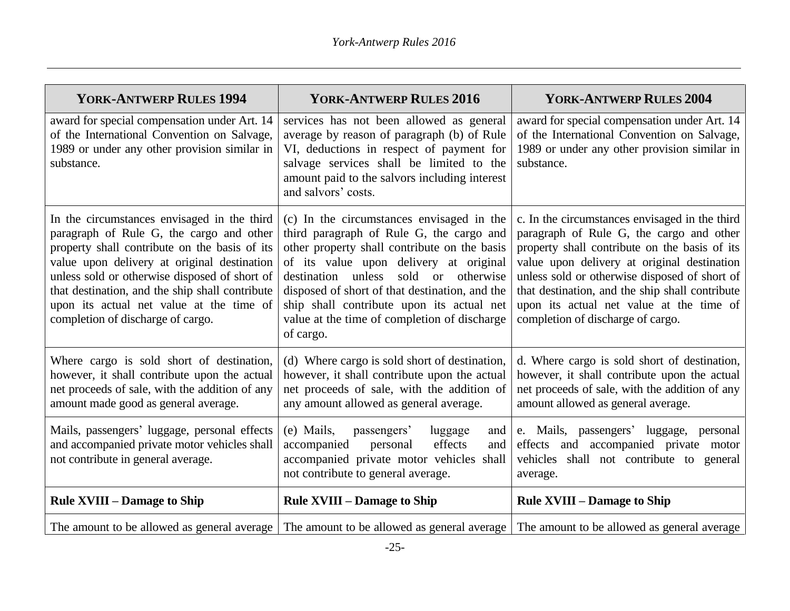| <b>YORK-ANTWERP RULES 1994</b>                                                                                                                                                                                                                                                                                                                                               | <b>YORK-ANTWERP RULES 2016</b>                                                                                                                                                                                                                                                                                                                                                         | <b>YORK-ANTWERP RULES 2004</b>                                                                                                                                                                                                                                                                                                                                                  |
|------------------------------------------------------------------------------------------------------------------------------------------------------------------------------------------------------------------------------------------------------------------------------------------------------------------------------------------------------------------------------|----------------------------------------------------------------------------------------------------------------------------------------------------------------------------------------------------------------------------------------------------------------------------------------------------------------------------------------------------------------------------------------|---------------------------------------------------------------------------------------------------------------------------------------------------------------------------------------------------------------------------------------------------------------------------------------------------------------------------------------------------------------------------------|
| award for special compensation under Art. 14<br>of the International Convention on Salvage,<br>1989 or under any other provision similar in<br>substance.                                                                                                                                                                                                                    | services has not been allowed as general<br>average by reason of paragraph (b) of Rule<br>VI, deductions in respect of payment for<br>salvage services shall be limited to the<br>amount paid to the salvors including interest<br>and salvors' costs.                                                                                                                                 | award for special compensation under Art. 14<br>of the International Convention on Salvage,<br>1989 or under any other provision similar in<br>substance.                                                                                                                                                                                                                       |
| In the circumstances envisaged in the third<br>paragraph of Rule G, the cargo and other<br>property shall contribute on the basis of its<br>value upon delivery at original destination<br>unless sold or otherwise disposed of short of<br>that destination, and the ship shall contribute<br>upon its actual net value at the time of<br>completion of discharge of cargo. | (c) In the circumstances envisaged in the<br>third paragraph of Rule G, the cargo and<br>other property shall contribute on the basis<br>of its value upon delivery at original<br>destination unless<br>sold or otherwise<br>disposed of short of that destination, and the<br>ship shall contribute upon its actual net<br>value at the time of completion of discharge<br>of cargo. | c. In the circumstances envisaged in the third<br>paragraph of Rule G, the cargo and other<br>property shall contribute on the basis of its<br>value upon delivery at original destination<br>unless sold or otherwise disposed of short of<br>that destination, and the ship shall contribute<br>upon its actual net value at the time of<br>completion of discharge of cargo. |
| Where cargo is sold short of destination,<br>however, it shall contribute upon the actual<br>net proceeds of sale, with the addition of any<br>amount made good as general average.                                                                                                                                                                                          | (d) Where cargo is sold short of destination,<br>however, it shall contribute upon the actual<br>net proceeds of sale, with the addition of<br>any amount allowed as general average.                                                                                                                                                                                                  | d. Where cargo is sold short of destination,<br>however, it shall contribute upon the actual<br>net proceeds of sale, with the addition of any<br>amount allowed as general average.                                                                                                                                                                                            |
| Mails, passengers' luggage, personal effects<br>and accompanied private motor vehicles shall<br>not contribute in general average.                                                                                                                                                                                                                                           | (e) Mails,<br>passengers'<br>luggage<br>and<br>accompanied<br>effects<br>personal<br>and<br>accompanied private motor vehicles shall<br>not contribute to general average.                                                                                                                                                                                                             | e. Mails, passengers' luggage, personal<br>effects and accompanied private motor<br>vehicles shall not contribute to general<br>average.                                                                                                                                                                                                                                        |
| <b>Rule XVIII - Damage to Ship</b>                                                                                                                                                                                                                                                                                                                                           | <b>Rule XVIII – Damage to Ship</b>                                                                                                                                                                                                                                                                                                                                                     | <b>Rule XVIII – Damage to Ship</b>                                                                                                                                                                                                                                                                                                                                              |
| The amount to be allowed as general average                                                                                                                                                                                                                                                                                                                                  | The amount to be allowed as general average                                                                                                                                                                                                                                                                                                                                            | The amount to be allowed as general average                                                                                                                                                                                                                                                                                                                                     |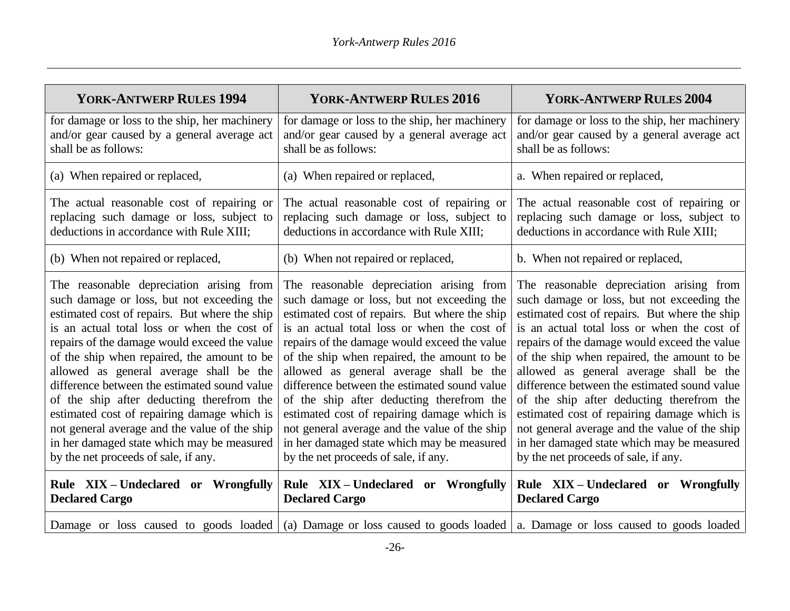| <b>YORK-ANTWERP RULES 1994</b>                | <b>YORK-ANTWERP RULES 2016</b>                                                                  | <b>YORK-ANTWERP RULES 2004</b>                |
|-----------------------------------------------|-------------------------------------------------------------------------------------------------|-----------------------------------------------|
| for damage or loss to the ship, her machinery | for damage or loss to the ship, her machinery                                                   | for damage or loss to the ship, her machinery |
| and/or gear caused by a general average act   | and/or gear caused by a general average act                                                     | and/or gear caused by a general average act   |
| shall be as follows:                          | shall be as follows:                                                                            | shall be as follows:                          |
| (a) When repaired or replaced,                | (a) When repaired or replaced,                                                                  | a. When repaired or replaced,                 |
| The actual reasonable cost of repairing or    | The actual reasonable cost of repairing or                                                      | The actual reasonable cost of repairing or    |
| replacing such damage or loss, subject to     | replacing such damage or loss, subject to                                                       | replacing such damage or loss, subject to     |
| deductions in accordance with Rule XIII;      | deductions in accordance with Rule XIII;                                                        | deductions in accordance with Rule XIII;      |
| (b) When not repaired or replaced,            | (b) When not repaired or replaced,                                                              | b. When not repaired or replaced,             |
| The reasonable depreciation arising from      | The reasonable depreciation arising from                                                        | The reasonable depreciation arising from      |
| such damage or loss, but not exceeding the    | such damage or loss, but not exceeding the                                                      | such damage or loss, but not exceeding the    |
| estimated cost of repairs. But where the ship | estimated cost of repairs. But where the ship                                                   | estimated cost of repairs. But where the ship |
| is an actual total loss or when the cost of   | is an actual total loss or when the cost of                                                     | is an actual total loss or when the cost of   |
| repairs of the damage would exceed the value  | repairs of the damage would exceed the value                                                    | repairs of the damage would exceed the value  |
| of the ship when repaired, the amount to be   | of the ship when repaired, the amount to be                                                     | of the ship when repaired, the amount to be   |
| allowed as general average shall be the       | allowed as general average shall be the                                                         | allowed as general average shall be the       |
| difference between the estimated sound value  | difference between the estimated sound value                                                    | difference between the estimated sound value  |
| of the ship after deducting therefrom the     | of the ship after deducting therefrom the                                                       | of the ship after deducting therefrom the     |
| estimated cost of repairing damage which is   | estimated cost of repairing damage which is                                                     | estimated cost of repairing damage which is   |
| not general average and the value of the ship | not general average and the value of the ship                                                   | not general average and the value of the ship |
| in her damaged state which may be measured    | in her damaged state which may be measured                                                      | in her damaged state which may be measured    |
| by the net proceeds of sale, if any.          | by the net proceeds of sale, if any.                                                            | by the net proceeds of sale, if any.          |
| Rule XIX – Undeclared or Wrongfully           | Rule XIX – Undeclared or Wrongfully                                                             | Rule XIX – Undeclared or Wrongfully           |
| <b>Declared Cargo</b>                         | <b>Declared Cargo</b>                                                                           | <b>Declared Cargo</b>                         |
|                                               | Damage or loss caused to goods loaded $\vert$ (a) Damage or loss caused to goods loaded $\vert$ | a. Damage or loss caused to goods loaded      |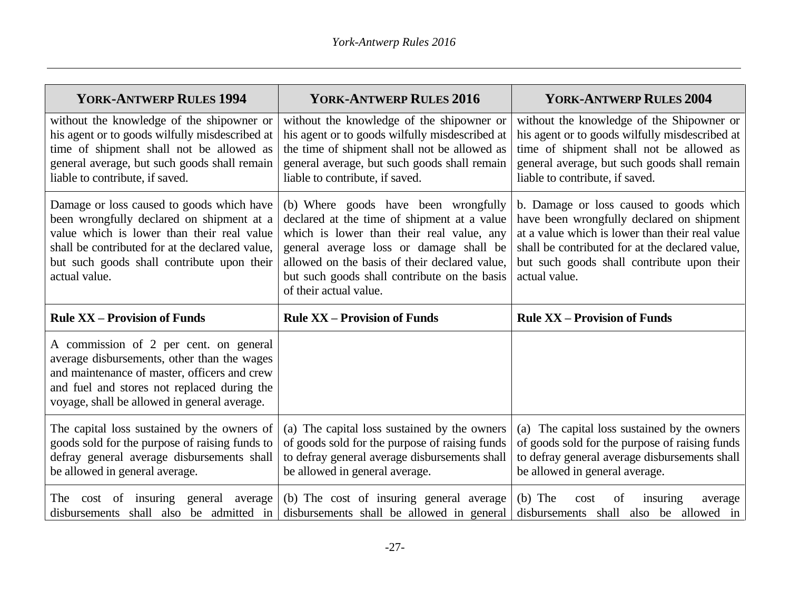| <b>YORK-ANTWERP RULES 1994</b>                                                                                                                                                                                                                         | <b>YORK-ANTWERP RULES 2016</b>                                                                                                                                                                                                                                                                         | <b>YORK-ANTWERP RULES 2004</b>                                                                                                                                                                                                                            |
|--------------------------------------------------------------------------------------------------------------------------------------------------------------------------------------------------------------------------------------------------------|--------------------------------------------------------------------------------------------------------------------------------------------------------------------------------------------------------------------------------------------------------------------------------------------------------|-----------------------------------------------------------------------------------------------------------------------------------------------------------------------------------------------------------------------------------------------------------|
| without the knowledge of the shipowner or<br>his agent or to goods wilfully misdescribed at<br>time of shipment shall not be allowed as<br>general average, but such goods shall remain<br>liable to contribute, if saved.                             | without the knowledge of the shipowner or<br>his agent or to goods wilfully misdescribed at<br>the time of shipment shall not be allowed as<br>general average, but such goods shall remain<br>liable to contribute, if saved.                                                                         | without the knowledge of the Shipowner or<br>his agent or to goods wilfully misdescribed at<br>time of shipment shall not be allowed as<br>general average, but such goods shall remain<br>liable to contribute, if saved.                                |
| Damage or loss caused to goods which have<br>been wrongfully declared on shipment at a<br>value which is lower than their real value<br>shall be contributed for at the declared value,<br>but such goods shall contribute upon their<br>actual value. | (b) Where goods have been wrongfully<br>declared at the time of shipment at a value<br>which is lower than their real value, any<br>general average loss or damage shall be<br>allowed on the basis of their declared value,<br>but such goods shall contribute on the basis<br>of their actual value. | b. Damage or loss caused to goods which<br>have been wrongfully declared on shipment<br>at a value which is lower than their real value<br>shall be contributed for at the declared value,<br>but such goods shall contribute upon their<br>actual value. |
| <b>Rule XX - Provision of Funds</b>                                                                                                                                                                                                                    | <b>Rule XX - Provision of Funds</b>                                                                                                                                                                                                                                                                    | <b>Rule XX - Provision of Funds</b>                                                                                                                                                                                                                       |
| A commission of 2 per cent. on general<br>average disbursements, other than the wages<br>and maintenance of master, officers and crew<br>and fuel and stores not replaced during the<br>voyage, shall be allowed in general average.                   |                                                                                                                                                                                                                                                                                                        |                                                                                                                                                                                                                                                           |
| The capital loss sustained by the owners of<br>goods sold for the purpose of raising funds to<br>defray general average disbursements shall<br>be allowed in general average.                                                                          | (a) The capital loss sustained by the owners<br>of goods sold for the purpose of raising funds<br>to defray general average disbursements shall<br>be allowed in general average.                                                                                                                      | (a) The capital loss sustained by the owners<br>of goods sold for the purpose of raising funds<br>to defray general average disbursements shall<br>be allowed in general average.                                                                         |
| The cost of insuring general average<br>disbursements shall also be admitted in                                                                                                                                                                        | (b) The cost of insuring general average<br>disbursements shall be allowed in general                                                                                                                                                                                                                  | $(b)$ The<br>of<br>insuring<br>cost<br>average<br>disbursements shall also be allowed in                                                                                                                                                                  |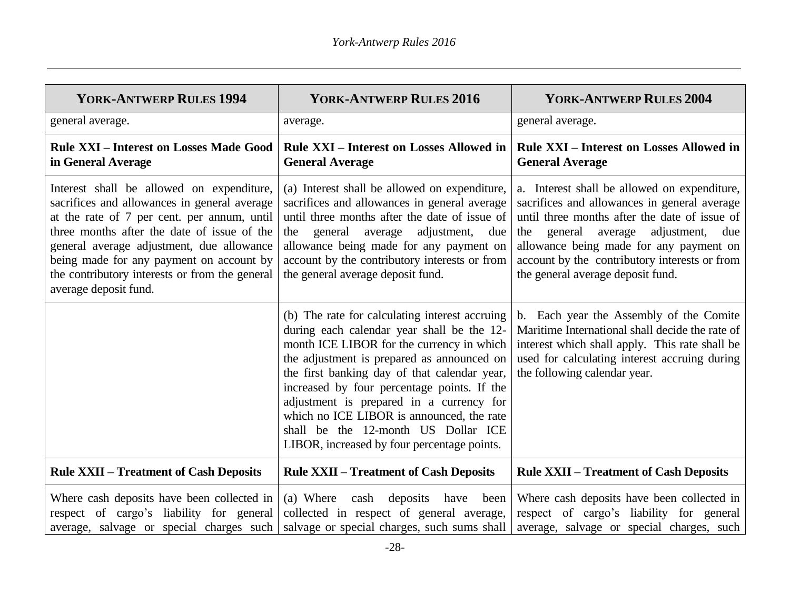| <b>YORK-ANTWERP RULES 1994</b>                                                                                                                                                                                                                                                                                                                              | <b>YORK-ANTWERP RULES 2016</b>                                                                                                                                                                                                                                                                                                                                                                                                                                        | <b>YORK-ANTWERP RULES 2004</b>                                                                                                                                                                                                                                                                                              |
|-------------------------------------------------------------------------------------------------------------------------------------------------------------------------------------------------------------------------------------------------------------------------------------------------------------------------------------------------------------|-----------------------------------------------------------------------------------------------------------------------------------------------------------------------------------------------------------------------------------------------------------------------------------------------------------------------------------------------------------------------------------------------------------------------------------------------------------------------|-----------------------------------------------------------------------------------------------------------------------------------------------------------------------------------------------------------------------------------------------------------------------------------------------------------------------------|
| general average.                                                                                                                                                                                                                                                                                                                                            | average.                                                                                                                                                                                                                                                                                                                                                                                                                                                              | general average.                                                                                                                                                                                                                                                                                                            |
| <b>Rule XXI - Interest on Losses Made Good</b><br>in General Average                                                                                                                                                                                                                                                                                        | <b>Rule XXI - Interest on Losses Allowed in</b><br><b>General Average</b>                                                                                                                                                                                                                                                                                                                                                                                             | <b>Rule XXI - Interest on Losses Allowed in</b><br><b>General Average</b>                                                                                                                                                                                                                                                   |
| Interest shall be allowed on expenditure,<br>sacrifices and allowances in general average<br>at the rate of 7 per cent. per annum, until<br>three months after the date of issue of the<br>general average adjustment, due allowance<br>being made for any payment on account by<br>the contributory interests or from the general<br>average deposit fund. | (a) Interest shall be allowed on expenditure,<br>sacrifices and allowances in general average<br>until three months after the date of issue of<br>general<br>average adjustment,<br>the<br>due<br>allowance being made for any payment on<br>account by the contributory interests or from<br>the general average deposit fund.                                                                                                                                       | a. Interest shall be allowed on expenditure,<br>sacrifices and allowances in general average<br>until three months after the date of issue of<br>average adjustment,<br>the general<br>due<br>allowance being made for any payment on<br>account by the contributory interests or from<br>the general average deposit fund. |
|                                                                                                                                                                                                                                                                                                                                                             | (b) The rate for calculating interest accruing<br>during each calendar year shall be the 12-<br>month ICE LIBOR for the currency in which<br>the adjustment is prepared as announced on<br>the first banking day of that calendar year,<br>increased by four percentage points. If the<br>adjustment is prepared in a currency for<br>which no ICE LIBOR is announced, the rate<br>shall be the 12-month US Dollar ICE<br>LIBOR, increased by four percentage points. | b. Each year the Assembly of the Comite<br>Maritime International shall decide the rate of<br>interest which shall apply. This rate shall be<br>used for calculating interest accruing during<br>the following calendar year.                                                                                               |
| <b>Rule XXII – Treatment of Cash Deposits</b>                                                                                                                                                                                                                                                                                                               | <b>Rule XXII – Treatment of Cash Deposits</b>                                                                                                                                                                                                                                                                                                                                                                                                                         | <b>Rule XXII – Treatment of Cash Deposits</b>                                                                                                                                                                                                                                                                               |
| Where cash deposits have been collected in<br>respect of cargo's liability for general<br>average, salvage or special charges such                                                                                                                                                                                                                          | (a) Where<br>cash deposits have been<br>collected in respect of general average,<br>salvage or special charges, such sums shall                                                                                                                                                                                                                                                                                                                                       | Where cash deposits have been collected in<br>respect of cargo's liability for general<br>average, salvage or special charges, such                                                                                                                                                                                         |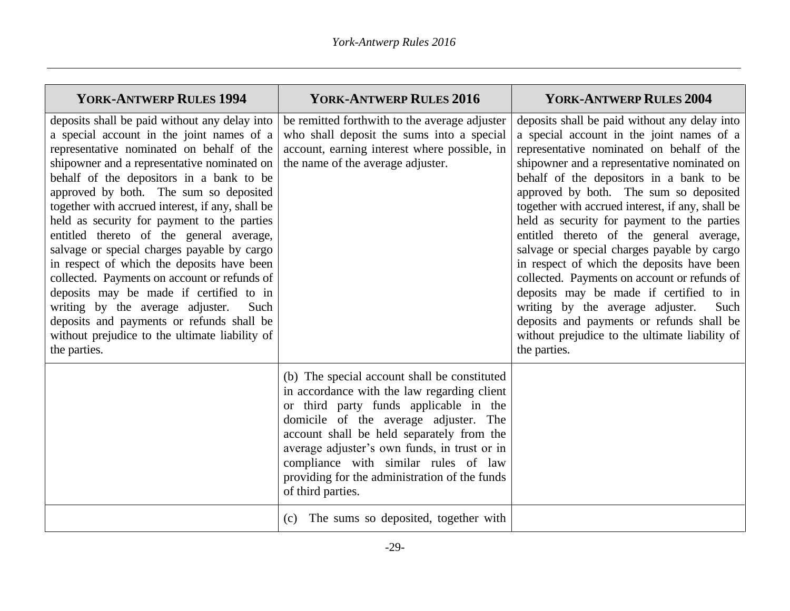| <b>YORK-ANTWERP RULES 1994</b>                                                                                                                                                                                                                                                                                                                                                                                                                                                                                                                                                                                                                                                                                                                                                 | <b>YORK-ANTWERP RULES 2016</b>                                                                                                                                                                                                                                                                                                                                                            | <b>YORK-ANTWERP RULES 2004</b>                                                                                                                                                                                                                                                                                                                                                                                                                                                                                                                                                                                                                                                                                                                                                 |
|--------------------------------------------------------------------------------------------------------------------------------------------------------------------------------------------------------------------------------------------------------------------------------------------------------------------------------------------------------------------------------------------------------------------------------------------------------------------------------------------------------------------------------------------------------------------------------------------------------------------------------------------------------------------------------------------------------------------------------------------------------------------------------|-------------------------------------------------------------------------------------------------------------------------------------------------------------------------------------------------------------------------------------------------------------------------------------------------------------------------------------------------------------------------------------------|--------------------------------------------------------------------------------------------------------------------------------------------------------------------------------------------------------------------------------------------------------------------------------------------------------------------------------------------------------------------------------------------------------------------------------------------------------------------------------------------------------------------------------------------------------------------------------------------------------------------------------------------------------------------------------------------------------------------------------------------------------------------------------|
| deposits shall be paid without any delay into<br>a special account in the joint names of a<br>representative nominated on behalf of the<br>shipowner and a representative nominated on<br>behalf of the depositors in a bank to be<br>approved by both. The sum so deposited<br>together with accrued interest, if any, shall be<br>held as security for payment to the parties<br>entitled thereto of the general average,<br>salvage or special charges payable by cargo<br>in respect of which the deposits have been<br>collected. Payments on account or refunds of<br>deposits may be made if certified to in<br>writing by the average adjuster.<br>Such<br>deposits and payments or refunds shall be<br>without prejudice to the ultimate liability of<br>the parties. | be remitted forthwith to the average adjuster<br>who shall deposit the sums into a special<br>account, earning interest where possible, in<br>the name of the average adjuster.                                                                                                                                                                                                           | deposits shall be paid without any delay into<br>a special account in the joint names of a<br>representative nominated on behalf of the<br>shipowner and a representative nominated on<br>behalf of the depositors in a bank to be<br>approved by both. The sum so deposited<br>together with accrued interest, if any, shall be<br>held as security for payment to the parties<br>entitled thereto of the general average,<br>salvage or special charges payable by cargo<br>in respect of which the deposits have been<br>collected. Payments on account or refunds of<br>deposits may be made if certified to in<br>writing by the average adjuster.<br>Such<br>deposits and payments or refunds shall be<br>without prejudice to the ultimate liability of<br>the parties. |
|                                                                                                                                                                                                                                                                                                                                                                                                                                                                                                                                                                                                                                                                                                                                                                                | (b) The special account shall be constituted<br>in accordance with the law regarding client<br>or third party funds applicable in the<br>domicile of the average adjuster. The<br>account shall be held separately from the<br>average adjuster's own funds, in trust or in<br>compliance with similar rules of law<br>providing for the administration of the funds<br>of third parties. |                                                                                                                                                                                                                                                                                                                                                                                                                                                                                                                                                                                                                                                                                                                                                                                |
|                                                                                                                                                                                                                                                                                                                                                                                                                                                                                                                                                                                                                                                                                                                                                                                | (c) The sums so deposited, together with                                                                                                                                                                                                                                                                                                                                                  |                                                                                                                                                                                                                                                                                                                                                                                                                                                                                                                                                                                                                                                                                                                                                                                |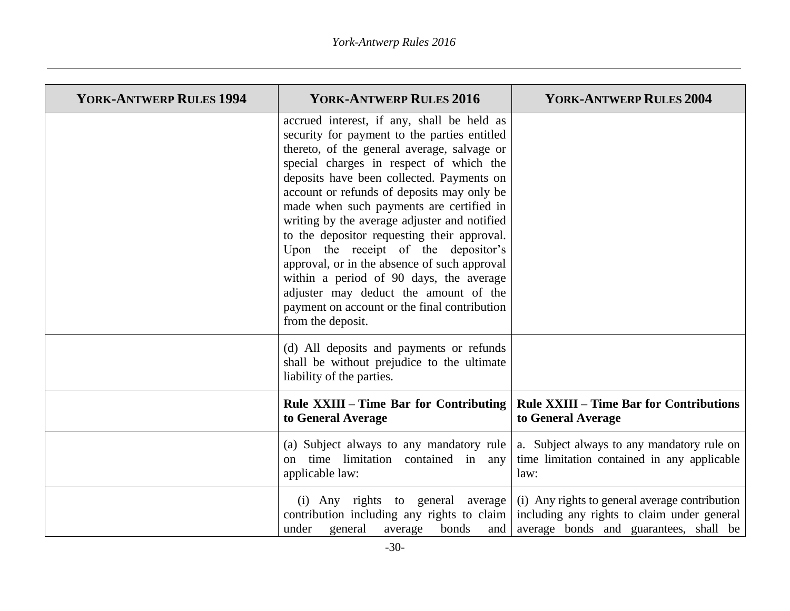| <b>YORK-ANTWERP RULES 1994</b> | <b>YORK-ANTWERP RULES 2016</b>                                                                                                                                                                                                                                                                                                                                                                                                                                                                                                                                                                                                                                             | <b>YORK-ANTWERP RULES 2004</b>                                                                                                          |
|--------------------------------|----------------------------------------------------------------------------------------------------------------------------------------------------------------------------------------------------------------------------------------------------------------------------------------------------------------------------------------------------------------------------------------------------------------------------------------------------------------------------------------------------------------------------------------------------------------------------------------------------------------------------------------------------------------------------|-----------------------------------------------------------------------------------------------------------------------------------------|
|                                | accrued interest, if any, shall be held as<br>security for payment to the parties entitled<br>thereto, of the general average, salvage or<br>special charges in respect of which the<br>deposits have been collected. Payments on<br>account or refunds of deposits may only be<br>made when such payments are certified in<br>writing by the average adjuster and notified<br>to the depositor requesting their approval.<br>Upon the receipt of the depositor's<br>approval, or in the absence of such approval<br>within a period of 90 days, the average<br>adjuster may deduct the amount of the<br>payment on account or the final contribution<br>from the deposit. |                                                                                                                                         |
|                                | (d) All deposits and payments or refunds<br>shall be without prejudice to the ultimate<br>liability of the parties.                                                                                                                                                                                                                                                                                                                                                                                                                                                                                                                                                        |                                                                                                                                         |
|                                | Rule XXIII – Time Bar for Contributing<br>to General Average                                                                                                                                                                                                                                                                                                                                                                                                                                                                                                                                                                                                               | <b>Rule XXIII – Time Bar for Contributions</b><br>to General Average                                                                    |
|                                | (a) Subject always to any mandatory rule<br>time limitation contained in any<br>on<br>applicable law:                                                                                                                                                                                                                                                                                                                                                                                                                                                                                                                                                                      | a. Subject always to any mandatory rule on<br>time limitation contained in any applicable<br>law:                                       |
|                                | (i) Any rights to general average<br>contribution including any rights to claim<br>under<br>general<br>bonds<br>average<br>and                                                                                                                                                                                                                                                                                                                                                                                                                                                                                                                                             | (i) Any rights to general average contribution<br>including any rights to claim under general<br>average bonds and guarantees, shall be |